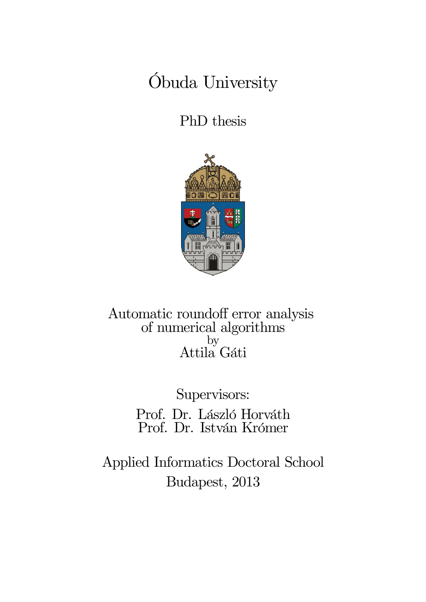# Óbuda University

PhD thesis



Automatic roundoff error analysis of numerical algorithms by Attila Gáti

> Supervisors: Prof. Dr. László Horváth Prof. Dr. István Krómer

Applied Informatics Doctoral School Budapest, 2013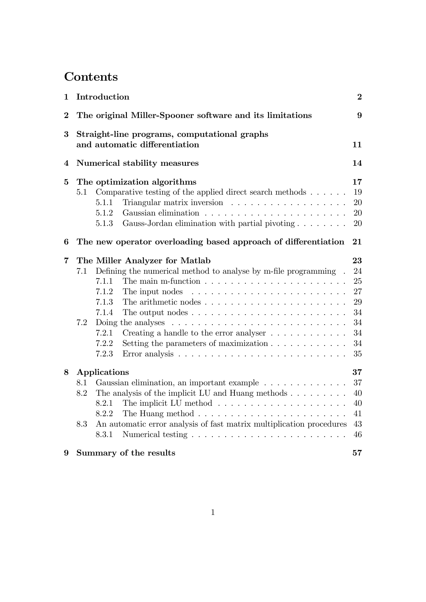# **Contents**

| $\mathbf 1$    |                                                                               | Introduction                                                                            |  | $\boldsymbol{2}$ |
|----------------|-------------------------------------------------------------------------------|-----------------------------------------------------------------------------------------|--|------------------|
| $\overline{2}$ |                                                                               | The original Miller-Spooner software and its limitations<br>9                           |  |                  |
| $\bf{3}$       | Straight-line programs, computational graphs<br>and automatic differentiation |                                                                                         |  | 11               |
| 4              | Numerical stability measures                                                  |                                                                                         |  | 14               |
| 5              |                                                                               | The optimization algorithms                                                             |  | 17               |
|                | 5.1                                                                           | Comparative testing of the applied direct search methods $\dots \dots$                  |  | 19               |
|                |                                                                               | 5.1.1                                                                                   |  | 20               |
|                |                                                                               | 5.1.2                                                                                   |  | 20               |
|                |                                                                               | Gauss-Jordan elimination with partial pivoting $\ldots \ldots$<br>5.1.3                 |  | 20               |
| 6              |                                                                               | The new operator overloading based approach of differentiation                          |  | 21               |
| 7              |                                                                               | The Miller Analyzer for Matlab                                                          |  | 23               |
|                | 7.1                                                                           | Defining the numerical method to analyse by m-file programming.                         |  | 24               |
|                |                                                                               | The main m-function $\ldots \ldots \ldots \ldots \ldots \ldots \ldots \ldots$<br>7.1.1  |  | 25               |
|                |                                                                               | 7.1.2<br>The input nodes                                                                |  | 27               |
|                |                                                                               | 7.1.3<br>The arithmetic nodes $\ldots \ldots \ldots \ldots \ldots \ldots \ldots \ldots$ |  | 29               |
|                |                                                                               | 7.1.4<br>The output nodes $\ldots \ldots \ldots \ldots \ldots \ldots \ldots \ldots$     |  | 34               |
|                | 7.2                                                                           | Doing the analyses $\ldots \ldots \ldots \ldots \ldots \ldots \ldots \ldots \ldots$     |  | 34               |
|                |                                                                               | 7.2.1<br>Creating a handle to the error analyser $\dots \dots \dots \dots$              |  | 34               |
|                |                                                                               | 7.2.2<br>Setting the parameters of maximization $\ldots \ldots \ldots \ldots$           |  | 34               |
|                |                                                                               | 7.2.3                                                                                   |  | 35               |
| 8              |                                                                               | Applications                                                                            |  | 37               |
|                | 8.1                                                                           | Gaussian elimination, an important example                                              |  | 37               |
|                | 8.2                                                                           | The analysis of the implicit LU and Huang methods $\ldots \ldots \ldots$                |  | 40               |
|                |                                                                               | The implicit LU method $\ldots \ldots \ldots \ldots \ldots \ldots \ldots$<br>8.2.1      |  | 40               |
|                |                                                                               | 8.2.2<br>The Huang method $\ldots \ldots \ldots \ldots \ldots \ldots \ldots \ldots$     |  | 41               |
|                | 8.3                                                                           | An automatic error analysis of fast matrix multiplication procedures                    |  | 43               |
|                |                                                                               | 8.3.1                                                                                   |  | 46               |
| 9              |                                                                               | Summary of the results                                                                  |  | 57               |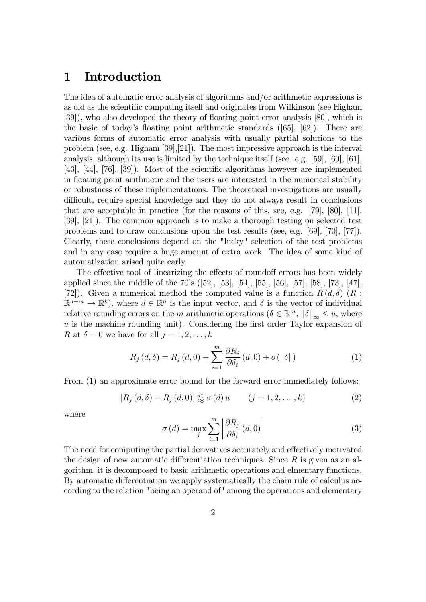# 1 Introduction

The idea of automatic error analysis of algorithms and/or arithmetic expressions is as old as the scientific computing itself and originates from Wilkinson (see Higham [39]), who also developed the theory of floating point error analysis [80], which is the basic of today's floating point arithmetic standards  $(65, 62)$ . There are various forms of automatic error analysis with usually partial solutions to the problem (see, e.g. Higham [39],[21]). The most impressive approach is the interval analysis, although its use is limited by the technique itself (see. e.g. [59], [60], [61], [43], [44],  $[76]$ ,  $[39]$ ). Most of the scientific algorithms however are implemented in floating point arithmetic and the users are interested in the numerical stability or robustness of these implementations. The theoretical investigations are usually difficult, require special knowledge and they do not always result in conclusions that are acceptable in practice (for the reasons of this, see, e.g. [79], [80], [11], [39], [21]). The common approach is to make a thorough testing on selected test problems and to draw conclusions upon the test results (see, e.g. [69], [70], [77]). Clearly, these conclusions depend on the "lucky" selection of the test problems and in any case require a huge amount of extra work. The idea of some kind of automatization arised quite early.

The effective tool of linearizing the effects of roundoff errors has been widely applied since the middle of the 70's ([52], [53], [54], [55], [56], [57], [58], [73], [47], [72]). Given a numerical method the computed value is a function  $R(d, \delta)$  (R :  $\mathbb{R}^{n+m} \to \mathbb{R}^k$ , where  $d \in \mathbb{R}^n$  is the input vector, and  $\delta$  is the vector of individual relative rounding errors on the m arithmetic operations  $(\delta \in \mathbb{R}^m, ||\delta||_{\infty} \le u$ , where  $u$  is the machine rounding unit). Considering the first order Taylor expansion of R at  $\delta = 0$  we have for all  $j = 1, 2, \ldots, k$ 

$$
R_{j}(d,\delta) = R_{j}(d,0) + \sum_{i=1}^{m} \frac{\partial R_{j}}{\partial \delta_{i}}(d,0) + o(||\delta||)
$$
 (1)

From (1) an approximate error bound for the forward error immediately follows:

$$
|R_j(d, \delta) - R_j(d, 0)| \lessapprox \sigma(d) u \qquad (j = 1, 2, ..., k)
$$
 (2)

where

$$
\sigma(d) = \max_{j} \sum_{i=1}^{m} \left| \frac{\partial R_j}{\partial \delta_i} (d, 0) \right| \tag{3}
$$

The need for computing the partial derivatives accurately and effectively motivated the design of new automatic differentiation techniques. Since  $R$  is given as an algorithm, it is decomposed to basic arithmetic operations and elmentary functions. By automatic differentiation we apply systematically the chain rule of calculus according to the relation "being an operand of" among the operations and elementary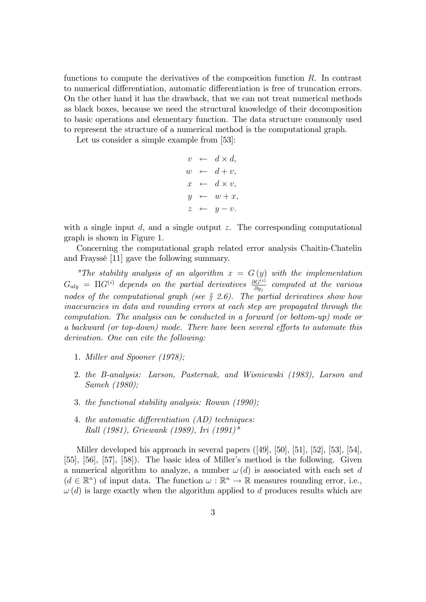functions to compute the derivatives of the composition function  $R$ . In contrast to numerical differentiation, automatic differentiation is free of truncation errors. On the other hand it has the drawback, that we can not treat numerical methods as black boxes, because we need the structural knowledge of their decomposition to basic operations and elementary function. The data structure commonly used to represent the structure of a numerical method is the computational graph.

Let us consider a simple example from [53]:

 $v \leftarrow d \times d,$  $w \leftarrow d + v,$  $x \leftarrow d \times v,$  $y \leftarrow w + x,$  $z \leftarrow u-v.$ 

with a single input  $d$ , and a single output  $z$ . The corresponding computational graph is shown in Figure 1.

Concerning the computational graph related error analysis Chaitin-Chatelin and FrayssÈ [11] gave the following summary.

"The stability analysis of an algorithm  $x = G(y)$  with the implementation  $G_{alg}$  =  $\Pi G^{(i)}$  depends on the partial derivatives  $\frac{\partial G^{(i)}}{\partial y_j}$  computed at the various nodes of the computational graph (see  $\S 2.6$ ). The partial derivatives show how inaccuracies in data and rounding errors at each step are propagated through the computation. The analysis can be conducted in a forward (or bottom-up) mode or a backward (or top-down) mode. There have been several efforts to automate this derivation. One can cite the following:

- 1. Miller and Spooner (1978);
- 2. the B-analysis: Larson, Pasternak, and Wisniewski (1983), Larson and Sameh (1980);
- 3. the functional stability analysis: Rowan (1990);
- 4. the automatic differentiation (AD) techniques: Rall (1981), Griewank (1989), Iri (1991)"

Miller developed his approach in several papers ([49], [50], [51], [52], [53], [54], [55],  $[56]$ ,  $[57]$ ,  $[58]$ ). The basic idea of Miller's method is the following. Given a numerical algorithm to analyze, a number  $\omega(d)$  is associated with each set d  $(d \in \mathbb{R}^n)$  of input data. The function  $\omega : \mathbb{R}^n \to \mathbb{R}$  measures rounding error, i.e.,  $\omega(d)$  is large exactly when the algorithm applied to d produces results which are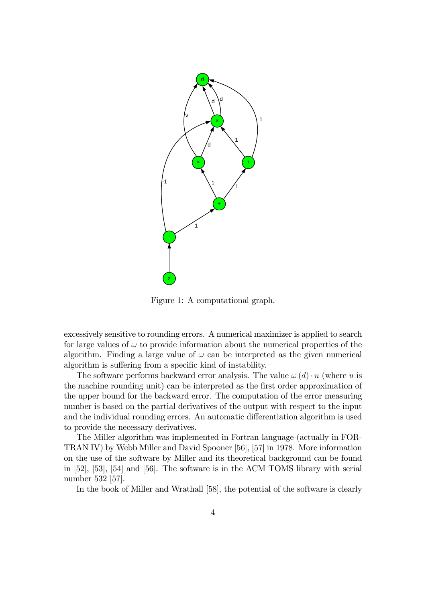

Figure 1: A computational graph.

excessively sensitive to rounding errors. A numerical maximizer is applied to search for large values of  $\omega$  to provide information about the numerical properties of the algorithm. Finding a large value of  $\omega$  can be interpreted as the given numerical algorithm is suffering from a specific kind of instability.

The software performs backward error analysis. The value  $\omega(d) \cdot u$  (where u is the machine rounding unit) can be interpreted as the first order approximation of the upper bound for the backward error. The computation of the error measuring number is based on the partial derivatives of the output with respect to the input and the individual rounding errors. An automatic differentiation algorithm is used to provide the necessary derivatives.

The Miller algorithm was implemented in Fortran language (actually in FOR-TRAN IV) by Webb Miller and David Spooner [56], [57] in 1978. More information on the use of the software by Miller and its theoretical background can be found in [52], [53], [54] and [56]. The software is in the ACM TOMS library with serial number 532 [57].

In the book of Miller and Wrathall [58], the potential of the software is clearly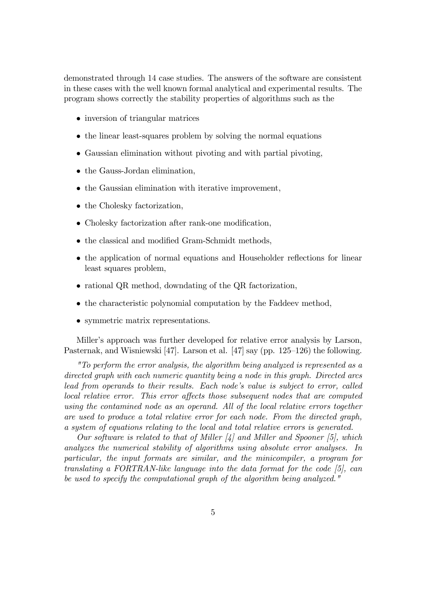demonstrated through 14 case studies. The answers of the software are consistent in these cases with the well known formal analytical and experimental results. The program shows correctly the stability properties of algorithms such as the

- inversion of triangular matrices
- the linear least-squares problem by solving the normal equations
- Gaussian elimination without pivoting and with partial pivoting,
- the Gauss-Jordan elimination.
- the Gaussian elimination with iterative improvement,
- the Cholesky factorization,
- $\bullet$  Cholesky factorization after rank-one modification,
- the classical and modified Gram-Schmidt methods,
- the application of normal equations and Householder reflections for linear least squares problem,
- rational QR method, downdating of the QR factorization,
- the characteristic polynomial computation by the Faddeev method,
- symmetric matrix representations.

Miller's approach was further developed for relative error analysis by Larson, Pasternak, and Wisniewski [47]. Larson et al. [47] say (pp.  $125-126$ ) the following.

"To perform the error analysis, the algorithm being analyzed is represented as a directed graph with each numeric quantity being a node in this graph. Directed arcs lead from operands to their results. Each node's value is subject to error, called local relative error. This error affects those subsequent nodes that are computed using the contamined node as an operand. All of the local relative errors together are used to produce a total relative error for each node. From the directed graph, a system of equations relating to the local and total relative errors is generated.

Our software is related to that of Miller  $\lbrack 4\rbrack$  and Miller and Spooner [5], which analyzes the numerical stability of algorithms using absolute error analyses. In particular, the input formats are similar, and the minicompiler, a program for translating a FORTRAN-like language into the data format for the code [5], can be used to specify the computational graph of the algorithm being analyzed."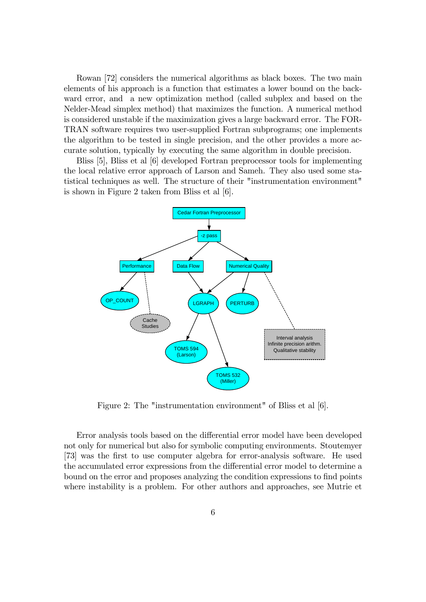Rowan [72] considers the numerical algorithms as black boxes. The two main elements of his approach is a function that estimates a lower bound on the backward error, and a new optimization method (called subplex and based on the Nelder-Mead simplex method) that maximizes the function. A numerical method is considered unstable if the maximization gives a large backward error. The FOR-TRAN software requires two user-supplied Fortran subprograms; one implements the algorithm to be tested in single precision, and the other provides a more accurate solution, typically by executing the same algorithm in double precision.

Bliss [5], Bliss et al [6] developed Fortran preprocessor tools for implementing the local relative error approach of Larson and Sameh. They also used some statistical techniques as well. The structure of their "instrumentation environment" is shown in Figure 2 taken from Bliss et al [6].



Figure 2: The "instrumentation environment" of Bliss et al [6].

Error analysis tools based on the differential error model have been developed not only for numerical but also for symbolic computing environments. Stoutemyer [73] was the Örst to use computer algebra for error-analysis software. He used the accumulated error expressions from the differential error model to determine a bound on the error and proposes analyzing the condition expressions to find points where instability is a problem. For other authors and approaches, see Mutrie et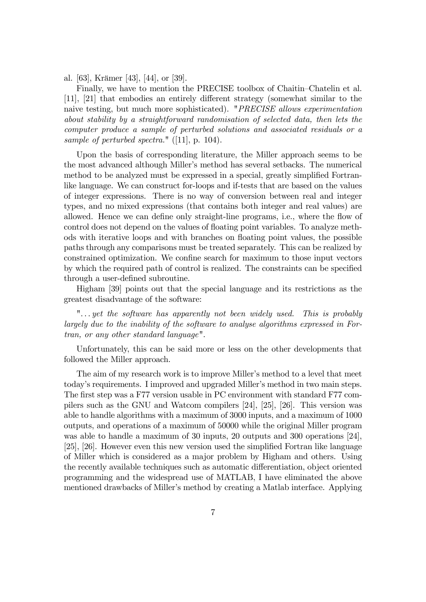al. [63], Krämer [43], [44], or [39].

Finally, we have to mention the PRECISE toolbox of Chaitin–Chatelin et al.  $[11]$ ,  $[21]$  that embodies an entirely different strategy (somewhat similar to the naive testing, but much more sophisticated). "PRECISE allows experimentation about stability by a straightforward randomisation of selected data, then lets the computer produce a sample of perturbed solutions and associated residuals or a sample of perturbed spectra."  $([11], p. 104)$ .

Upon the basis of corresponding literature, the Miller approach seems to be the most advanced although Millerís method has several setbacks. The numerical method to be analyzed must be expressed in a special, greatly simplified Fortranlike language. We can construct for-loops and if-tests that are based on the values of integer expressions. There is no way of conversion between real and integer types, and no mixed expressions (that contains both integer and real values) are allowed. Hence we can define only straight-line programs, i.e., where the flow of control does not depend on the values of floating point variables. To analyze methods with iterative loops and with branches on floating point values, the possible paths through any comparisons must be treated separately. This can be realized by constrained optimization. We confine search for maximum to those input vectors by which the required path of control is realized. The constraints can be specified through a user-defined subroutine.

Higham [39] points out that the special language and its restrictions as the greatest disadvantage of the software:

". . . yet the software has apparently not been widely used. This is probably largely due to the inability of the software to analyse algorithms expressed in Fortran, or any other standard language".

Unfortunately, this can be said more or less on the other developments that followed the Miller approach.

The aim of my research work is to improve Miller's method to a level that meet today's requirements. I improved and upgraded Miller's method in two main steps. The first step was a F77 version usable in PC environment with standard F77 compilers such as the GNU and Watcom compilers [24], [25], [26]. This version was able to handle algorithms with a maximum of 3000 inputs, and a maximum of 1000 outputs, and operations of a maximum of 50000 while the original Miller program was able to handle a maximum of 30 inputs, 20 outputs and 300 operations [24], [25], [26]. However even this new version used the simplified Fortran like language of Miller which is considered as a major problem by Higham and others. Using the recently available techniques such as automatic differentiation, object oriented programming and the widespread use of MATLAB, I have eliminated the above mentioned drawbacks of Miller's method by creating a Matlab interface. Applying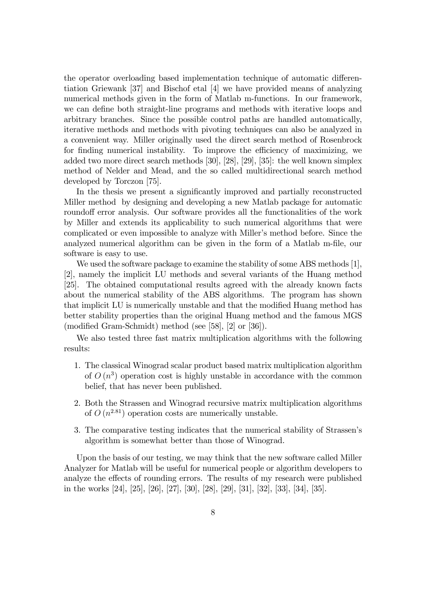the operator overloading based implementation technique of automatic differentiation Griewank [37] and Bischof etal [4] we have provided means of analyzing numerical methods given in the form of Matlab m-functions. In our framework, we can define both straight-line programs and methods with iterative loops and arbitrary branches. Since the possible control paths are handled automatically, iterative methods and methods with pivoting techniques can also be analyzed in a convenient way. Miller originally used the direct search method of Rosenbrock for finding numerical instability. To improve the efficiency of maximizing, we added two more direct search methods [30], [28], [29], [35]: the well known simplex method of Nelder and Mead, and the so called multidirectional search method developed by Torczon [75].

In the thesis we present a significantly improved and partially reconstructed Miller method by designing and developing a new Matlab package for automatic roundoff error analysis. Our software provides all the functionalities of the work by Miller and extends its applicability to such numerical algorithms that were complicated or even impossible to analyze with Miller's method before. Since the analyzed numerical algorithm can be given in the form of a Matlab m-file, our software is easy to use.

We used the software package to examine the stability of some ABS methods [1], [2], namely the implicit LU methods and several variants of the Huang method [25]. The obtained computational results agreed with the already known facts about the numerical stability of the ABS algorithms. The program has shown that implicit LU is numerically unstable and that the modified Huang method has better stability properties than the original Huang method and the famous MGS (modified Gram-Schmidt) method (see [58],  $[2]$  or  $[36]$ ).

We also tested three fast matrix multiplication algorithms with the following results:

- 1. The classical Winograd scalar product based matrix multiplication algorithm of  $O(n^3)$  operation cost is highly unstable in accordance with the common belief, that has never been published.
- 2. Both the Strassen and Winograd recursive matrix multiplication algorithms of  $O(n^{2.81})$  operation costs are numerically unstable.
- 3. The comparative testing indicates that the numerical stability of Strassenís algorithm is somewhat better than those of Winograd.

Upon the basis of our testing, we may think that the new software called Miller Analyzer for Matlab will be useful for numerical people or algorithm developers to analyze the effects of rounding errors. The results of my research were published in the works [24], [25], [26], [27], [30], [28], [29], [31], [32], [33], [34], [35].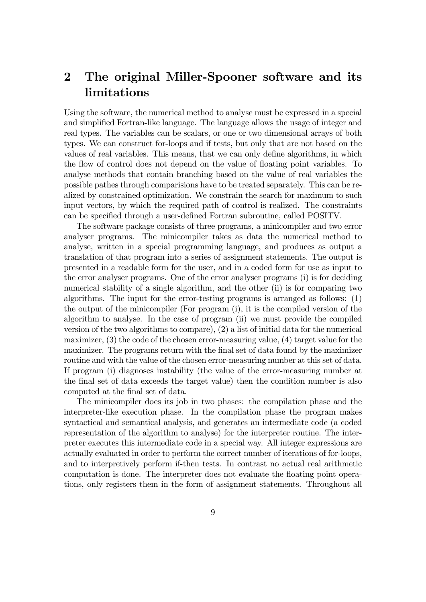# 2 The original Miller-Spooner software and its limitations

Using the software, the numerical method to analyse must be expressed in a special and simplified Fortran-like language. The language allows the usage of integer and real types. The variables can be scalars, or one or two dimensional arrays of both types. We can construct for-loops and if tests, but only that are not based on the values of real variables. This means, that we can only define algorithms, in which the flow of control does not depend on the value of floating point variables. To analyse methods that contain branching based on the value of real variables the possible pathes through comparisions have to be treated separately. This can be realized by constrained optimization. We constrain the search for maximum to such input vectors, by which the required path of control is realized. The constraints can be specified through a user-defined Fortran subroutine, called POSITV.

The software package consists of three programs, a minicompiler and two error analyser programs. The minicompiler takes as data the numerical method to analyse, written in a special programming language, and produces as output a translation of that program into a series of assignment statements. The output is presented in a readable form for the user, and in a coded form for use as input to the error analyser programs. One of the error analyser programs (i) is for deciding numerical stability of a single algorithm, and the other (ii) is for comparing two algorithms. The input for the error-testing programs is arranged as follows: (1) the output of the minicompiler (For program (i), it is the compiled version of the algorithm to analyse. In the case of program (ii) we must provide the compiled version of the two algorithms to compare), (2) a list of initial data for the numerical maximizer, (3) the code of the chosen error-measuring value, (4) target value for the maximizer. The programs return with the final set of data found by the maximizer routine and with the value of the chosen error-measuring number at this set of data. If program (i) diagnoses instability (the value of the error-measuring number at the final set of data exceeds the target value) then the condition number is also computed at the final set of data.

The minicompiler does its job in two phases: the compilation phase and the interpreter-like execution phase. In the compilation phase the program makes syntactical and semantical analysis, and generates an intermediate code (a coded representation of the algorithm to analyse) for the interpreter routine. The interpreter executes this intermediate code in a special way. All integer expressions are actually evaluated in order to perform the correct number of iterations of for-loops, and to interpretively perform if-then tests. In contrast no actual real arithmetic computation is done. The interpreter does not evaluate the floating point operations, only registers them in the form of assignment statements. Throughout all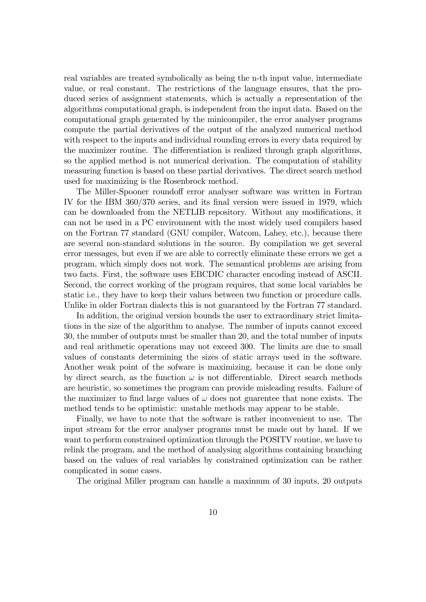real variables are treated symbolically as being the n-th input value, intermediate value, or real constant. The restrictions of the language ensures, that the produced series of assignment statements, which is actually a representation of the algorithms computational graph, is independent from the input data. Based on the computational graph generated by the minicompiler, the error analyser programs compute the partial derivatives of the output of the analyzed numerical method with respect to the inputs and individual rounding errors in every data required by the maximizer routine. The differentiation is realized through graph algorithms, so the applied method is not numerical derivation. The computation of stability measuring function is based on these partial derivatives. The direct search method used for maximizing is the Rosenbrock method.

The Miller-Spooner roundoff error analyser software was written in Fortran IV for the IBM 360/370 series, and its final version were issued in 1979, which can be downloaded from the NETLIB repository. Without any modifications, it can not be used in a PC environment with the most widely used compilers based on the Fortran 77 standard (GNU compiler, Watcom, Lahey, etc.), because there are several non-standard solutions in the source. By compilation we get several error messages, but even if we are able to correctly eliminate these errors we get a program, which simply does not work. The semantical problems are arising from two facts. First, the software uses EBCDIC character encoding instead of ASCII. Second, the correct working of the program requires, that some local variables be static i.e., they have to keep their values between two function or procedure calls. Unlike in older Fortran dialects this is not guaranteed by the Fortran 77 standard.

In addition, the original version bounds the user to extraordinary strict limitations in the size of the algorithm to analyse. The number of inputs cannot exceed 30, the number of outputs must be smaller than 20, and the total number of inputs and real arithmetic operations may not exceed 300. The limits are due to small values of constants determining the sizes of static arrays used in the software. Another weak point of the sofware is maximizing, because it can be done only by direct search, as the function  $\omega$  is not differentiable. Direct search methods are heuristic, so sometimes the program can provide misleading results. Failure of the maximizer to find large values of  $\omega$  does not guarentee that none exists. The method tends to be optimistic: unstable methods may appear to be stable.

Finally, we have to note that the software is rather inconvenient to use. The input stream for the error analyser programs must be made out by hand. If we want to perform constrained optimization through the POSITV routine, we have to relink the program, and the method of analysing algorithms containing branching based on the values of real variables by constrained optimization can be rather complicated in some cases.

The original Miller program can handle a maximum of 30 inputs, 20 outputs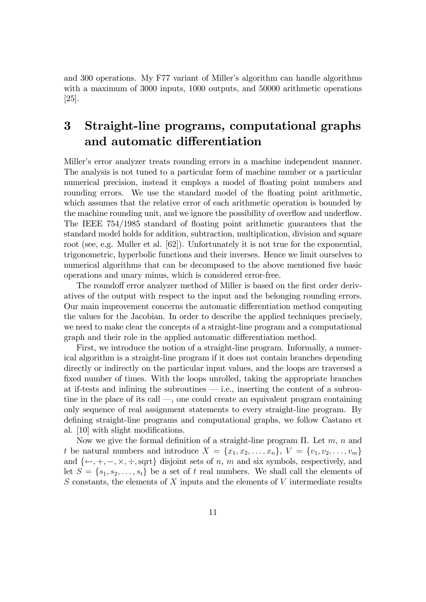and 300 operations. My F77 variant of Miller's algorithm can handle algorithms with a maximum of 3000 inputs, 1000 outputs, and 50000 arithmetic operations [25].

# 3 Straight-line programs, computational graphs and automatic differentiation

Miller's error analyzer treats rounding errors in a machine independent manner. The analysis is not tuned to a particular form of machine number or a particular numerical precision, instead it employs a model of floating point numbers and rounding errors. We use the standard model of the floating point arithmetic, which assumes that the relative error of each arithmetic operation is bounded by the machine rounding unit, and we ignore the possibility of overflow and underflow. The IEEE  $754/1985$  standard of floating point arithmetic guarantees that the standard model holds for addition, subtraction, multiplication, division and square root (see, e.g. Muller et al. [62]). Unfortunately it is not true for the exponential, trigonometric, hyperbolic functions and their inverses. Hence we limit ourselves to numerical algorithms that can be decomposed to the above mentioned five basic operations and unary minus, which is considered error-free.

The roundoff error analyzer method of Miller is based on the first order derivatives of the output with respect to the input and the belonging rounding errors. Our main improvement concerns the automatic differentiation method computing the values for the Jacobian. In order to describe the applied techniques precisely, we need to make clear the concepts of a straight-line program and a computational graph and their role in the applied automatic differentiation method.

First, we introduce the notion of a straight-line program. Informally, a numerical algorithm is a straight-line program if it does not contain branches depending directly or indirectly on the particular input values, and the loops are traversed a fixed number of times. With the loops unrolled, taking the appropriate branches at if-tests and inlining the subroutines  $-$  i.e., inserting the content of a subroutine in the place of its call  $\sim$ , one could create an equivalent program containing only sequence of real assignment statements to every straight-line program. By defining straight-line programs and computational graphs, we follow Castano et al. [10] with slight modifications.

Now we give the formal definition of a straight-line program  $\Pi$ . Let  $m, n$  and t be natural numbers and introduce  $X = \{x_1, x_2, \ldots, x_n\}, V = \{v_1, v_2, \ldots, v_m\}$ and  $\{\leftarrow, +, -, \times, \div, \text{sqrt}\}\$  disjoint sets of n, m and six symbols, respectively, and let  $S = \{s_1, s_2, \ldots, s_t\}$  be a set of t real numbers. We shall call the elements of  $S$  constants, the elements of  $X$  inputs and the elements of  $V$  intermediate results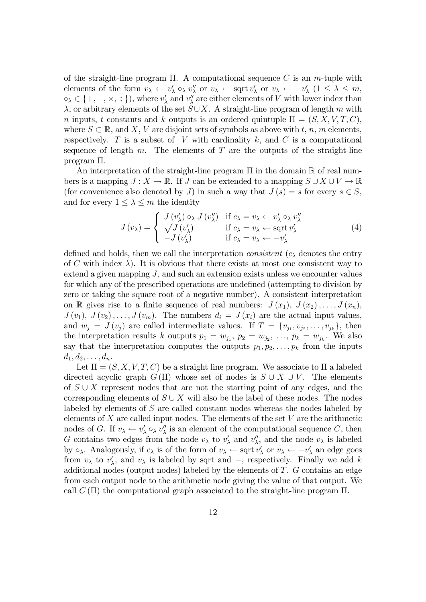of the straight-line program  $\Pi$ . A computational sequence C is an m-tuple with elements of the form  $v_{\lambda} \leftarrow v'_{\lambda} \circ_{\lambda} v''_{\lambda}$  or  $v_{\lambda} \leftarrow \text{sqrt } v'_{\lambda}$  or  $v_{\lambda} \leftarrow -v'_{\lambda}$   $(1 \leq \lambda \leq m,$  $\circ_{\lambda} \in \{+, -, \times, \div\}$ , where  $v'_{\lambda}$  and  $v''_{\lambda}$  are either elements of V with lower index than  $\lambda$ , or arbitrary elements of the set  $S\cup X$ . A straight-line program of length m with n inputs, t constants and k outputs is an ordered quintuple  $\Pi = (S, X, V, T, C)$ , where  $S \subset \mathbb{R}$ , and X, V are disjoint sets of symbols as above with t, n, m elements, respectively. T is a subset of V with cardinality  $k$ , and C is a computational sequence of length  $m$ . The elements of  $T$  are the outputs of the straight-line program  $\Pi$ .

An interpretation of the straight-line program  $\Pi$  in the domain  $\mathbb R$  of real numbers is a mapping  $J: X \to \mathbb{R}$ . If J can be extended to a mapping  $S \cup X \cup V \to \mathbb{R}$ (for convenience also denoted by J) in such a way that  $J(s) = s$  for every  $s \in S$ , and for every  $1 \leq \lambda \leq m$  the identity

$$
J(v_{\lambda}) = \begin{cases} J(v'_{\lambda}) \circ_{\lambda} J(v''_{\lambda}) & \text{if } c_{\lambda} = v_{\lambda} \leftarrow v'_{\lambda} \circ_{\lambda} v''_{\lambda} \\ \sqrt{J(v'_{\lambda})} & \text{if } c_{\lambda} = v_{\lambda} \leftarrow \text{sqrt } v'_{\lambda} \\ -J(v'_{\lambda}) & \text{if } c_{\lambda} = v_{\lambda} \leftarrow -v'_{\lambda} \end{cases}
$$
 (4)

defined and holds, then we call the interpretation *consistent*  $(c_{\lambda}$  denotes the entry of C with index  $\lambda$ ). It is obvious that there exists at most one consistent way to extend a given mapping  $J$ , and such an extension exists unless we encounter values for which any of the prescribed operations are undefined (attempting to division by zero or taking the square root of a negative number). A consistent interpretation on R gives rise to a finite sequence of real numbers:  $J(x_1), J(x_2), \ldots, J(x_n)$ ,  $J(v_1), J(v_2), \ldots, J(v_m)$ . The numbers  $d_i = J(x_i)$  are the actual input values, and  $w_j = J(v_j)$  are called intermediate values. If  $T = \{v_{j_1}, v_{j_2}, \ldots, v_{j_k}\},\$  then the interpretation results k outputs  $p_1 = w_{j_1}, p_2 = w_{j_2}, \ldots, p_k = w_{j_k}$ . We also say that the interpretation computes the outputs  $p_1, p_2, \ldots, p_k$  from the inputs  $d_1, d_2, \ldots, d_n.$ 

Let  $\Pi = (S, X, V, T, C)$  be a straight line program. We associate to  $\Pi$  a labeled directed acyclic graph  $G(\Pi)$  whose set of nodes is  $S \cup X \cup V$ . The elements of  $S \cup X$  represent nodes that are not the starting point of any edges, and the corresponding elements of  $S \cup X$  will also be the label of these nodes. The nodes labeled by elements of S are called constant nodes whereas the nodes labeled by elements of  $X$  are called input nodes. The elements of the set  $V$  are the arithmetic nodes of G. If  $v_{\lambda} \leftarrow v_{\lambda}' \circ_{\lambda} v_{\lambda}''$  is an element of the computational sequence C, then G contains two edges from the node  $v_{\lambda}$  to  $v'_{\lambda}$  and  $v''_{\lambda}$ , and the node  $v_{\lambda}$  is labeled by  $\circ_{\lambda}$ . Analogously, if  $c_{\lambda}$  is of the form of  $v_{\lambda} \leftarrow \text{sqrt } v_{\lambda}$  or  $v_{\lambda} \leftarrow -v_{\lambda}'$  an edge goes from  $v_{\lambda}$  to  $v'_{\lambda}$ , and  $v_{\lambda}$  is labeled by sqrt and  $-$ , respectively. Finally we add k additional nodes (output nodes) labeled by the elements of T. G contains an edge from each output node to the arithmetic node giving the value of that output. We call  $G(\Pi)$  the computational graph associated to the straight-line program  $\Pi$ .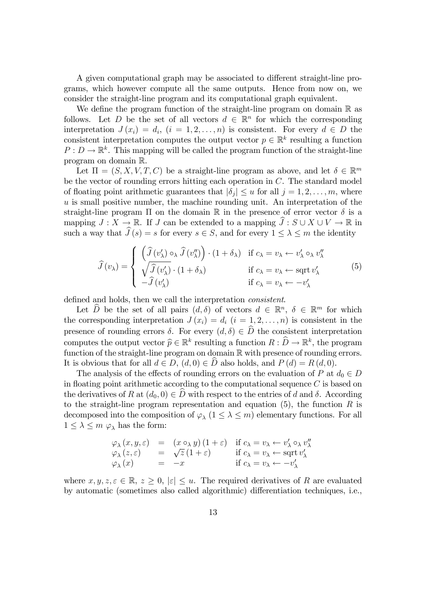A given computational graph may be associated to different straight-line programs, which however compute all the same outputs. Hence from now on, we consider the straight-line program and its computational graph equivalent.

We define the program function of the straight-line program on domain  $\mathbb R$  as follows. Let D be the set of all vectors  $d \in \mathbb{R}^n$  for which the corresponding interpretation  $J(x_i) = d_i$ ,  $(i = 1, 2, ..., n)$  is consistent. For every  $d \in D$  the consistent interpretation computes the output vector  $p \in \mathbb{R}^k$  resulting a function  $P: D \to \mathbb{R}^k$ . This mapping will be called the program function of the straight-line program on domain R.

Let  $\Pi = (S, X, V, T, C)$  be a straight-line program as above, and let  $\delta \in \mathbb{R}^m$ be the vector of rounding errors hitting each operation in C. The standard model of floating point arithmetic guarantees that  $|\delta_j| \leq u$  for all  $j = 1, 2, \ldots, m$ , where  $u$  is small positive number, the machine rounding unit. An interpretation of the straight-line program  $\Pi$  on the domain  $\mathbb R$  in the presence of error vector  $\delta$  is a mapping  $J: X \to \mathbb{R}$ . If J can be extended to a mapping  $\hat{J}: S \cup X \cup V \to \mathbb{R}$  in such a way that  $\widehat{J}(s) = s$  for every  $s \in S$ , and for every  $1 \leq \lambda \leq m$  the identity

$$
\widehat{J}(v_{\lambda}) = \begin{cases}\n\left(\widehat{J}(v_{\lambda}') \circ_{\lambda} \widehat{J}(v_{\lambda}'')\right) \cdot (1 + \delta_{\lambda}) & \text{if } c_{\lambda} = v_{\lambda} \leftarrow v_{\lambda}' \circ_{\lambda} v_{\lambda}'' \\
\sqrt{\widehat{J}(v_{\lambda}') \cdot (1 + \delta_{\lambda})} & \text{if } c_{\lambda} = v_{\lambda} \leftarrow \text{sqrt } v_{\lambda}' \\
-\widehat{J}(v_{\lambda}') & \text{if } c_{\lambda} = v_{\lambda} \leftarrow -v_{\lambda}'\n\end{cases}
$$
\n(5)

defined and holds, then we call the interpretation *consistent*.

Let  $\hat{D}$  be the set of all pairs  $(d, \delta)$  of vectors  $d \in \mathbb{R}^n$ ,  $\delta \in \mathbb{R}^m$  for which the corresponding interpretation  $J(x_i) = d_i$   $(i = 1, 2, ..., n)$  is consistent in the presence of rounding errors  $\delta$ . For every  $(d, \delta) \in \hat{D}$  the consistent interpretation computes the output vector  $\widehat{p} \in \mathbb{R}^k$  resulting a function  $R : \widehat{D} \to \mathbb{R}^k$ , the program function of the straight-line program on domain  $\mathbb R$  with presence of rounding errors. It is obvious that for all  $d \in D$ ,  $(d, 0) \in D$  also holds, and  $P(d) = R(d, 0)$ .

The analysis of the effects of rounding errors on the evaluation of P at  $d_0 \in D$ in floating point arithmetic according to the computational sequence  $C$  is based on the derivatives of R at  $(d_0, 0) \in D$  with respect to the entries of d and  $\delta$ . According to the straight-line program representation and equation  $(5)$ , the function R is decomposed into the composition of  $\varphi_{\lambda}$   $(1 \leq \lambda \leq m)$  elementary functions. For all  $1 \leq \lambda \leq m \varphi_{\lambda}$  has the form:

$$
\varphi_{\lambda}(x, y, \varepsilon) = (x \circ_{\lambda} y) (1 + \varepsilon) \text{ if } c_{\lambda} = v_{\lambda} \leftarrow v'_{\lambda} \circ_{\lambda} v''_{\lambda}
$$
  
\n
$$
\varphi_{\lambda}(z, \varepsilon) = \sqrt{z} (1 + \varepsilon) \text{ if } c_{\lambda} = v_{\lambda} \leftarrow \text{sqrt } v'_{\lambda}
$$
  
\n
$$
\varphi_{\lambda}(x) = -x \text{ if } c_{\lambda} = v_{\lambda} \leftarrow -v'_{\lambda}
$$

where  $x, y, z, \varepsilon \in \mathbb{R}, z \geq 0, |\varepsilon| \leq u$ . The required derivatives of R are evaluated by automatic (sometimes also called algorithmic) differentiation techniques, i.e.,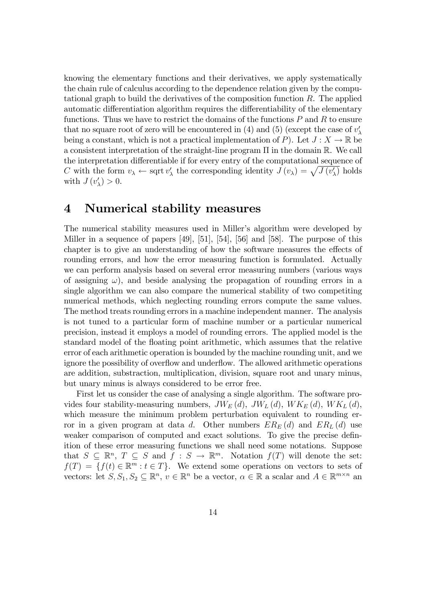knowing the elementary functions and their derivatives, we apply systematically the chain rule of calculus according to the dependence relation given by the computational graph to build the derivatives of the composition function R. The applied automatic differentiation algorithm requires the differentiability of the elementary functions. Thus we have to restrict the domains of the functions  $P$  and  $R$  to ensure that no square root of zero will be encountered in (4) and (5) (except the case of  $v'_{\lambda}$ being a constant, which is not a practical implementation of P). Let  $J: X \to \mathbb{R}$  be a consistent interpretation of the straight-line program  $\Pi$  in the domain  $\mathbb R$ . We call the interpretation differentiable if for every entry of the computational sequence of C with the form  $v_{\lambda} \leftarrow \text{sqrt } v_{\lambda}'$  the corresponding identity  $J(v_{\lambda}) = \sqrt{J(v_{\lambda}')}$  holds with  $J(v'_{\lambda}) > 0$ .

# 4 Numerical stability measures

The numerical stability measures used in Miller's algorithm were developed by Miller in a sequence of papers [49], [51], [54], [56] and [58]. The purpose of this chapter is to give an understanding of how the software measures the effects of rounding errors, and how the error measuring function is formulated. Actually we can perform analysis based on several error measuring numbers (various ways of assigning  $\omega$ ), and beside analysing the propagation of rounding errors in a single algorithm we can also compare the numerical stability of two competiting numerical methods, which neglecting rounding errors compute the same values. The method treats rounding errors in a machine independent manner. The analysis is not tuned to a particular form of machine number or a particular numerical precision, instead it employs a model of rounding errors. The applied model is the standard model of the floating point arithmetic, which assumes that the relative error of each arithmetic operation is bounded by the machine rounding unit, and we ignore the possibility of overflow and underflow. The allowed arithmetic operations are addition, substraction, multiplication, division, square root and unary minus, but unary minus is always considered to be error free.

First let us consider the case of analysing a single algorithm. The software provides four stability-measuring numbers,  $JW_E(d)$ ,  $JW_L(d)$ ,  $WK_E(d)$ ,  $WK_L(d)$ , which measure the minimum problem perturbation equivalent to rounding error in a given program at data d. Other numbers  $ER_E(d)$  and  $ER_L(d)$  use weaker comparison of computed and exact solutions. To give the precise definition of these error measuring functions we shall need some notations. Suppose that  $S \subseteq \mathbb{R}^n$ ,  $T \subseteq S$  and  $f : S \to \mathbb{R}^m$ . Notation  $f(T)$  will denote the set:  $f(T) = \{f(t) \in \mathbb{R}^m : t \in T\}$ . We extend some operations on vectors to sets of vectors: let  $S, S_1, S_2 \subseteq \mathbb{R}^n$ ,  $v \in \mathbb{R}^n$  be a vector,  $\alpha \in \mathbb{R}$  a scalar and  $A \in \mathbb{R}^{m \times n}$  and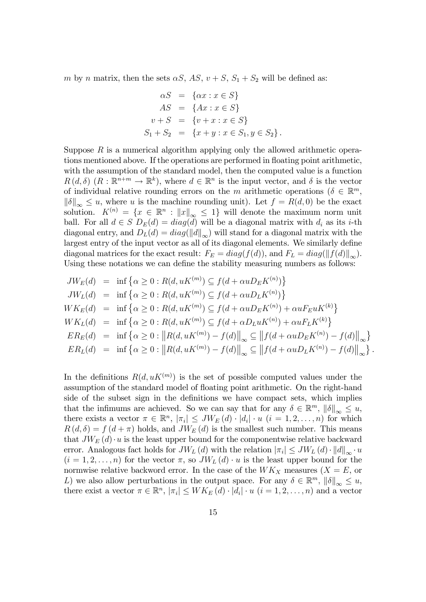m by n matrix, then the sets  $\alpha S$ ,  $AS$ ,  $v + S$ ,  $S_1 + S_2$  will be defined as:

$$
\alpha S = \{ \alpha x : x \in S \}
$$
  
\n
$$
AS = \{ Ax : x \in S \}
$$
  
\n
$$
v + S = \{ v + x : x \in S \}
$$
  
\n
$$
S_1 + S_2 = \{ x + y : x \in S_1, y \in S_2 \}.
$$

Suppose  $R$  is a numerical algorithm applying only the allowed arithmetic operations mentioned above. If the operations are performed in floating point arithmetic, with the assumption of the standard model, then the computed value is a function  $R(d, \delta)$   $(R : \mathbb{R}^{n+m} \to \mathbb{R}^k)$ , where  $d \in \mathbb{R}^n$  is the input vector, and  $\delta$  is the vector of individual relative rounding errors on the m arithmetic operations ( $\delta \in \mathbb{R}^m$ ,  $\|\delta\|_{\infty} \leq u$ , where u is the machine rounding unit). Let  $f = R(d, 0)$  be the exact solution.  $K^{(n)} = \{x \in \mathbb{R}^n : ||x||_{\infty} \leq 1\}$  will denote the maximum norm unit ball. For all  $d \in S$   $D_E(d) = diag(d)$  will be a diagonal matrix with  $d_i$  as its *i*-th diagonal entry, and  $D_L(d) = diag(||d||_{\infty})$  will stand for a diagonal matrix with the largest entry of the input vector as all of its diagonal elements. We similarly define diagonal matrices for the exact result:  $F_E = diag(f(d))$ , and  $F_L = diag(||f(d)||_{\infty})$ . Using these notations we can define the stability measuring numbers as follows:

$$
JW_E(d) = \inf \{ \alpha \ge 0 : R(d, uK^{(m)}) \subseteq f(d + \alpha u D_E K^{(n)}) \}
$$
  
\n
$$
JW_L(d) = \inf \{ \alpha \ge 0 : R(d, uK^{(m)}) \subseteq f(d + \alpha u D_L K^{(n)}) \}
$$
  
\n
$$
W K_E(d) = \inf \{ \alpha \ge 0 : R(d, uK^{(m)}) \subseteq f(d + \alpha u D_E K^{(n)}) + \alpha u F_E u K^{(k)} \}
$$
  
\n
$$
W K_L(d) = \inf \{ \alpha \ge 0 : R(d, uK^{(m)}) \subseteq f(d + \alpha D_L u K^{(n)}) + \alpha u F_L K^{(k)} \}
$$
  
\n
$$
E R_E(d) = \inf \{ \alpha \ge 0 : ||R(d, uK^{(m)}) - f(d)||_{\infty} \subseteq ||f(d + \alpha u D_E K^{(n)}) - f(d)||_{\infty} \}
$$
  
\n
$$
E R_L(d) = \inf \{ \alpha \ge 0 : ||R(d, uK^{(m)}) - f(d)||_{\infty} \subseteq ||f(d + \alpha u D_L K^{(n)}) - f(d)||_{\infty} \}
$$

.

In the definitions  $R(d, uK^{(m)})$  is the set of possible computed values under the assumption of the standard model of floating point arithmetic. On the right-hand side of the subset sign in the definitions we have compact sets, which implies that the infimums are achieved. So we can say that for any  $\delta \in \mathbb{R}^m$ ,  $\|\delta\|_{\infty} \leq u$ , there exists a vector  $\pi \in \mathbb{R}^n$ ,  $|\pi_i| \leq JW_E(d) \cdot |d_i| \cdot u$   $(i = 1, 2, ..., n)$  for which  $R(d, \delta) = f(d + \pi)$  holds, and  $JW_E(d)$  is the smallest such number. This means that  $JW_E(d) \cdot u$  is the least upper bound for the componentwise relative backward error. Analogous fact holds for  $JW_L(d)$  with the relation  $|\pi_i| \leq JW_L(d) \cdot ||d||_{\infty} \cdot u$  $(i = 1, 2, \ldots, n)$  for the vector  $\pi$ , so  $JW_L(d) \cdot u$  is the least upper bound for the normwise relative backword error. In the case of the  $WK_X$  measures  $(X = E)$ , or L) we also allow perturbations in the output space. For any  $\delta \in \mathbb{R}^m$ ,  $\|\delta\|_{\infty} \leq u$ , there exist a vector  $\pi \in \mathbb{R}^n$ ,  $|\pi_i| \le W K_E(d) \cdot |d_i| \cdot u$   $(i = 1, 2, \ldots, n)$  and a vector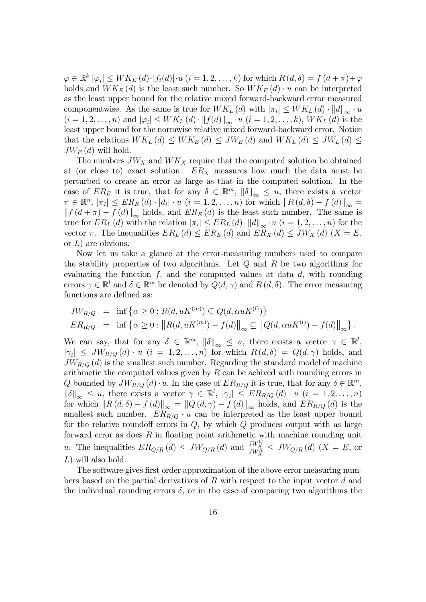$\varphi \in \mathbb{R}^k \left| \varphi_i \right| \leq W K_E \left( d \right) \cdot \left| f_i(d) \right| \cdot u \ (i = 1, 2, \ldots, k) \text{ for which } R \left( d, \delta \right) = f \left( d + \pi \right) + \varphi$ holds and  $WK_E(d)$  is the least such number. So  $WK_E(d) \cdot u$  can be interpreted as the least upper bound for the relative mixed forward-backward error measured componentwise. As the same is true for  $WK_L(d)$  with  $|\pi_i| \leq WK_L(d) \cdot ||d||_{\infty} \cdot u$  $(i = 1, 2, \ldots, n)$  and  $|\varphi_i| \leq W K_L(d) \cdot ||f(d)||_{\infty} \cdot u$   $(i = 1, 2, \ldots, k)$ ,  $W K_L(d)$  is the least upper bound for the normwise relative mixed forward-backward error. Notice that the relations  $WK_L(d) \leq WK_E(d) \leq JW_E(d)$  and  $WK_L(d) \leq JW_L(d) \leq$  $JW_E(d)$  will hold.

The numbers  $JW_X$  and  $WK_X$  require that the computed solution be obtained at (or close to) exact solution.  $ER<sub>X</sub>$  measures how much the data must be perturbed to create an error as large as that in the computed solution. In the case of  $ER_E$  it is true, that for any  $\delta \in \mathbb{R}^m$ ,  $\|\delta\|_{\infty} \leq u$ , there exists a vector  $\pi \in \mathbb{R}^n$ ,  $|\pi_i| \le ER_E(d) \cdot |d_i| \cdot u$   $(i = 1, 2, \ldots, n)$  for which  $||R(d, \delta) - f(d)||_{\infty} =$  $|| f (d + \pi) - f (d) ||_{\infty}$  holds, and  $ER_E(d)$  is the least such number. The same is true for  $ER_L(d)$  with the relation  $|\pi_i| \le ER_L(d) \cdot ||d||_{\infty} \cdot u$   $(i = 1, 2, \ldots, n)$  for the vector  $\pi$ . The inequalities  $ER_L(d) \le ER_E(d)$  and  $ER_X(d) \le JW_X(d)$   $(X = E$ , or  $L$ ) are obvious.

Now let us take a glance at the error-measuring numbers used to compare the stability properties of two algorithms. Let  $Q$  and  $R$  be two algorithms for evaluating the function  $f$ , and the computed values at data  $d$ , with rounding errors  $\gamma \in \mathbb{R}^l$  and  $\delta \in \mathbb{R}^m$  be denoted by  $Q(d, \gamma)$  and  $R(d, \delta)$ . The error measuring functions are defined as:

$$
JW_{R/Q} = \inf \{ \alpha \ge 0 : R(d, uK^{(m)}) \subseteq Q(d, \alpha uK^{(l)}) \}
$$
  
\n
$$
ER_{R/Q} = \inf \{ \alpha \ge 0 : ||R(d, uK^{(m)}) - f(d)||_{\infty} \subseteq ||Q(d, \alpha uK^{(l)}) - f(d)||_{\infty} \}.
$$

We can say, that for any  $\delta \in \mathbb{R}^m$ ,  $\|\delta\|_{\infty} \leq u$ , there exists a vector  $\gamma \in \mathbb{R}^l$ ,  $|\gamma_i| \leq JW_{R/Q}(d) \cdot u$   $(i = 1, 2, ..., n)$  for which  $R(d, \delta) = Q(d, \gamma)$  holds, and  $JW_{R/Q}$  (d) is the smallest such number. Regarding the standard model of machine arithmetic the computed values given by  $R$  can be achived with rounding errors in Q bounded by  $JW_{R/Q} (d) \cdot u$ . In the case of  $ER_{R/Q}$  it is true, that for any  $\delta \in \mathbb{R}^m$ ,  $\|\delta\|_{\infty} \leq u$ , there exists a vector  $\gamma \in \mathbb{R}^l$ ,  $|\gamma_i| \leq ER_{R/Q}(d) \cdot u$   $(i = 1, 2, ..., n)$ for which  $||R(d, \delta) - f(d)||_{\infty} = ||Q(d, \gamma) - f(d)||_{\infty}$  holds, and  $ER_{R/Q}(d)$  is the smallest such number.  $ER_{R/Q} \cdot u$  can be interpreted as the least upper bound for the relative roundoff errors in  $Q$ , by which  $Q$  produces output with as large forward error as does  $R$  in floating point arithmetic with machine rounding unit u. The inequalities  $ER_{Q/R}(d) \leq JW_{Q/R}(d)$  and  $\frac{JW_X^Q}{JW_X^R} \leq JW_{Q/R}(d)$   $(X = E, \text{ or})$ L) will also hold.

The software gives first order approximation of the above error measuring numbers based on the partial derivatives of  $R$  with respect to the input vector  $d$  and the individual rounding errors  $\delta$ , or in the case of comparing two algorithms the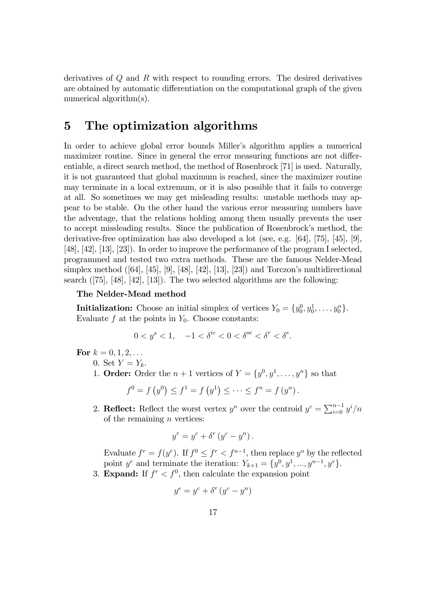derivatives of Q and R with respect to rounding errors. The desired derivatives are obtained by automatic differentiation on the computational graph of the given numerical algorithm(s).

# 5 The optimization algorithms

In order to achieve global error bounds Miller's algorithm applies a numerical maximizer routine. Since in general the error measuring functions are not differentiable, a direct search method, the method of Rosenbrock [71] is used. Naturally, it is not guaranteed that global maximum is reached, since the maximizer routine may terminate in a local extremum, or it is also possible that it fails to converge at all. So sometimes we may get misleading results: unstable methods may appear to be stable. On the other hand the various error measuring numbers have the adventage, that the relations holding among them usually prevents the user to accept missleading results. Since the publication of Rosenbrock's method, the derivative-free optimization has also developed a lot (see, e.g. [64], [75], [45], [9], [48], [42], [13], [23]). In order to improve the performance of the program I selected, programmed and tested two extra methods. These are the famous Nelder-Mead simplex method  $([64], [45], [9], [48], [42], [13], [23])$  and Torczon's multidirectional search ([75], [48], [42], [13]). The two selected algorithms are the following:

#### The Nelder-Mead method

**Initialization:** Choose an initial simplex of vertices  $Y_0 = \{y_0^0, y_0^1, \ldots, y_0^n\}.$ Evaluate  $f$  at the points in  $Y_0$ . Choose constants:

$$
0 < y^s < 1, \quad -1 < \delta^{ic} < 0 < \delta^{oc} < \delta^r < \delta^e.
$$

For  $k = 0, 1, 2, \ldots$ 

- 0. Set  $Y=Y_k$ .
- 1. **Order:** Order the  $n + 1$  vertices of  $Y = \{y^0, y^1, \ldots, y^n\}$  so that

$$
f^{0} = f(y^{0}) \le f^{1} = f(y^{1}) \le \cdots \le f^{n} = f(y^{n}).
$$

2. Reflect: Reflect the worst vertex  $y^n$  over the centroid  $y^c = \sum_{i=0}^{n-1} y^i/n$ of the remaining  $n$  vertices:

$$
y^r = y^c + \delta^r (y^c - y^n).
$$

Evaluate  $f^r = f(y^r)$ . If  $f^0 \leq f^r < f^{n-1}$ , then replace  $y^n$  by the reflected point y<sup>r</sup> and terminate the iteration:  $Y_{k+1} = \{y^0, y^1, ..., y^{n-1}, y^r\}.$ 3. **Expand:** If  $f^r < f^0$ , then calculate the expansion point

$$
y^e = y^c + \delta^e (y^c - y^n)
$$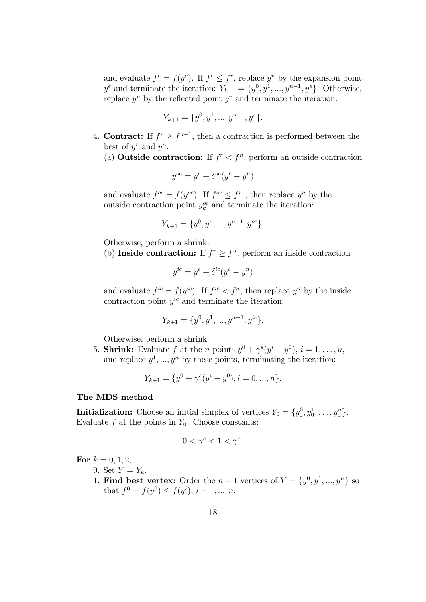and evaluate  $f^e = f(y^e)$ . If  $f^e \leq f^r$ , replace  $y^p$  by the expansion point  $y^e$  and terminate the iteration:  $Y_{k+1} = \{y^0, y^1, ..., y^{n-1}, y^e\}$ . Otherwise, replace  $y^n$  by the reflected point  $y^r$  and terminate the iteration:

$$
Y_{k+1} = \{y^0, y^1, ..., y^{n-1}, y^r\}.
$$

- 4. **Contract:** If  $f^r \ge f^{n-1}$ , then a contraction is performed between the best of  $y^r$  and  $y^n$ .
	- (a) **Outside contraction:** If  $f^r < f^n$ , perform an outside contraction

$$
y^{oc} = y^c + \delta^{oc}(y^c - y^n)
$$

and evaluate  $f^{oc} = f(y^{oc})$ . If  $f^{oc} \leq f^r$ , then replace  $y^n$  by the outside contraction point  $y_k^{oc}$  and terminate the iteration:

$$
Y_{k+1} = \{y^0, y^1, ..., y^{n-1}, y^{oc}\}.
$$

Otherwise, perform a shrink.

(b) Inside contraction: If  $f^r \geq f^n$ , perform an inside contraction

$$
y^{ic} = y^c + \delta^{ic}(y^c - y^n)
$$

and evaluate  $f^{ic} = f(y^{ic})$ . If  $f^{ic} < f^n$ , then replace  $y^n$  by the inside contraction point  $y^{ic}$  and terminate the iteration:

$$
Y_{k+1} = \{y^0, y^1, ..., y^{n-1}, y^{ic}\}.
$$

Otherwise, perform a shrink.

5. **Shrink:** Evaluate f at the *n* points  $y^0 + \gamma^s(y^i - y^0), i = 1, \ldots, n$ , and replace  $y^1, ..., y^n$  by these points, terminating the iteration:

$$
Y_{k+1} = \{y^0 + \gamma^s(y^i - y^0), i = 0, ..., n\}.
$$

### The MDS method

**Initialization:** Choose an initial simplex of vertices  $Y_0 = \{y_0^0, y_0^1, \ldots, y_0^n\}.$ Evaluate  $f$  at the points in  $Y_0$ . Choose constants:

$$
0 < \gamma^s < 1 < \gamma^e.
$$

For  $k = 0, 1, 2, ...$ 

0. Set  $Y=Y_k$ .

1. Find best vertex: Order the  $n+1$  vertices of  $Y = \{y^0, y^1, ..., y^n\}$  so that  $f^0 = f(y^0) \le f(y^i), i = 1, ..., n.$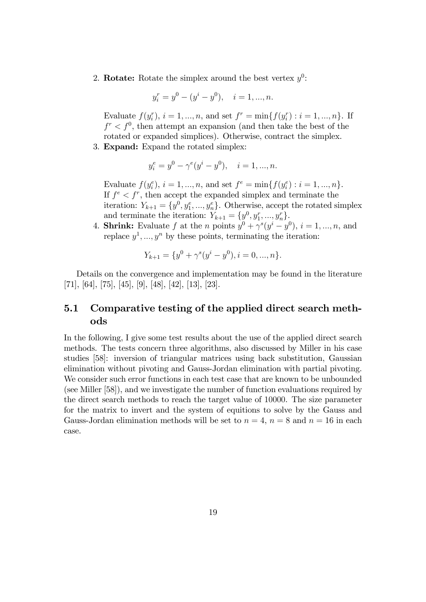2. **Rotate:** Rotate the simplex around the best vertex  $y^0$ :

$$
y_i^r = y^0 - (y^i - y^0), \quad i = 1, ..., n.
$$

Evaluate  $f(y_i^r), i = 1, ..., n$ , and set  $f^r = \min\{f(y_i^r) : i = 1, ..., n\}$ . If  $f^r < f^0$ , then attempt an expansion (and then take the best of the rotated or expanded simplices). Otherwise, contract the simplex.

3. Expand: Expand the rotated simplex:

$$
y_i^e = y^0 - \gamma^e (y^i - y^0), \quad i = 1, ..., n.
$$

Evaluate  $f(y_i^e), i = 1, ..., n$ , and set  $f^e = \min\{f(y_i^e) : i = 1, ..., n\}.$ If  $f^e < f^r$ , then accept the expanded simplex and terminate the iteration:  $Y_{k+1} = \{y^0, y_1^e, ..., y_n^e\}$ . Otherwise, accept the rotated simplex and terminate the iteration:  $Y_{k+1} = \{y^0, y_1^r, ..., y_n^r\}$ 

4. **Shrink:** Evaluate f at the *n* points  $y^0 + \gamma^s(y^i - y^0)$ ,  $i = 1, ..., n$ , and replace  $y^1, ..., y^n$  by these points, terminating the iteration:

$$
Y_{k+1} = \{y^0 + \gamma^s(y^i - y^0), i = 0, ..., n\}.
$$

Details on the convergence and implementation may be found in the literature [71], [64], [75], [45], [9], [48], [42], [13], [23].

# 5.1 Comparative testing of the applied direct search methods

In the following, I give some test results about the use of the applied direct search methods. The tests concern three algorithms, also discussed by Miller in his case studies [58]: inversion of triangular matrices using back substitution, Gaussian elimination without pivoting and Gauss-Jordan elimination with partial pivoting. We consider such error functions in each test case that are known to be unbounded (see Miller [58]), and we investigate the number of function evaluations required by the direct search methods to reach the target value of 10000. The size parameter for the matrix to invert and the system of equitions to solve by the Gauss and Gauss-Jordan elimination methods will be set to  $n = 4$ ,  $n = 8$  and  $n = 16$  in each case.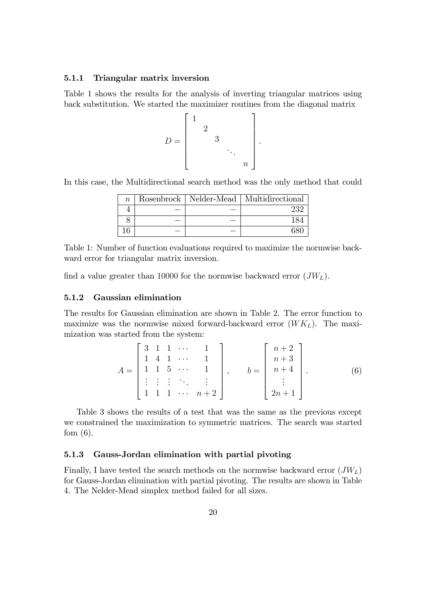#### 5.1.1 Triangular matrix inversion

Table 1 shows the results for the analysis of inverting triangular matrices using back substitution. We started the maximizer routines from the diagonal matrix

$$
D = \begin{bmatrix} 1 & & & & \\ & 2 & & & \\ & & 3 & & \\ & & & \ddots & \\ & & & & n \end{bmatrix}
$$

.

In this case, the Multidirectional search method was the only method that could

| $n_{\rm c}$ |  | Rosenbrock   Nelder-Mead   Multidirectional |
|-------------|--|---------------------------------------------|
|             |  |                                             |
|             |  |                                             |
|             |  |                                             |

Table 1: Number of function evaluations required to maximize the normwise backward error for triangular matrix inversion.

find a value greater than 10000 for the normwise backward error  $(JW_L)$ .

### 5.1.2 Gaussian elimination

The results for Gaussian elimination are shown in Table 2. The error function to maximize was the normwise mixed forward-backward error  $(WK_L)$ . The maximization was started from the system:

$$
A = \begin{bmatrix} 3 & 1 & 1 & \cdots & 1 \\ 1 & 4 & 1 & \cdots & 1 \\ 1 & 1 & 5 & \cdots & 1 \\ \vdots & \vdots & \vdots & \ddots & \vdots \\ 1 & 1 & 1 & \cdots & n+2 \end{bmatrix}, \qquad b = \begin{bmatrix} n+2 \\ n+3 \\ n+4 \\ \vdots \\ 2n+1 \end{bmatrix}.
$$
 (6)

Table 3 shows the results of a test that was the same as the previous except we constrained the maximization to symmetric matrices. The search was started fom  $(6)$ .

#### 5.1.3 Gauss-Jordan elimination with partial pivoting

Finally, I have tested the search methods on the normwise backward error  $(JW_L)$ for Gauss-Jordan elimination with partial pivoting. The results are shown in Table 4. The Nelder-Mead simplex method failed for all sizes.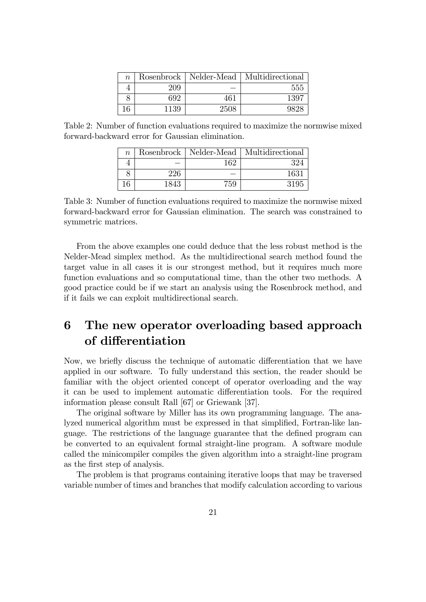| $\, n$ |      |      | Rosenbrock   Nelder-Mead   Multidirectional |
|--------|------|------|---------------------------------------------|
|        | 209  |      | 555                                         |
|        | 692  | 461  | 1397                                        |
| 16     | 1139 | 2508 | コマワー                                        |

Table 2: Number of function evaluations required to maximize the normwise mixed forward-backward error for Gaussian elimination.

| $\, n$ | Rosenbrock | Nelder-Mead | Multidirectional |
|--------|------------|-------------|------------------|
|        |            | 169         | 394              |
|        | 226        |             | 1631             |
|        | 1843       | 759         | 3195             |

Table 3: Number of function evaluations required to maximize the normwise mixed forward-backward error for Gaussian elimination. The search was constrained to symmetric matrices.

From the above examples one could deduce that the less robust method is the Nelder-Mead simplex method. As the multidirectional search method found the target value in all cases it is our strongest method, but it requires much more function evaluations and so computational time, than the other two methods. A good practice could be if we start an analysis using the Rosenbrock method, and if it fails we can exploit multidirectional search.

# 6 The new operator overloading based approach of differentiation

Now, we briefly discuss the technique of automatic differentiation that we have applied in our software. To fully understand this section, the reader should be familiar with the object oriented concept of operator overloading and the way it can be used to implement automatic differentiation tools. For the required information please consult Rall [67] or Griewank [37].

The original software by Miller has its own programming language. The analyzed numerical algorithm must be expressed in that simplified, Fortran-like language. The restrictions of the language guarantee that the defined program can be converted to an equivalent formal straight-line program. A software module called the minicompiler compiles the given algorithm into a straight-line program as the first step of analysis.

The problem is that programs containing iterative loops that may be traversed variable number of times and branches that modify calculation according to various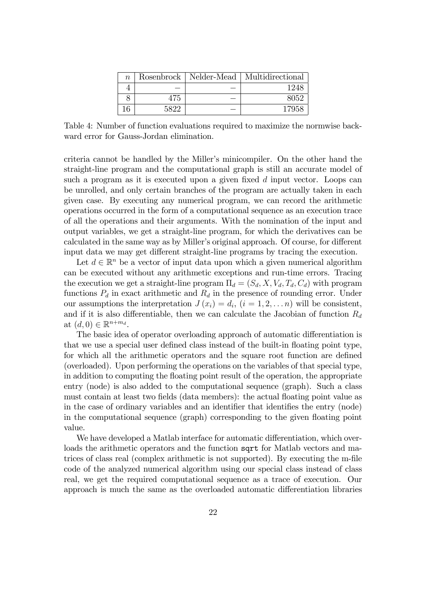| $\, n$ |      | Rosenbrock   Nelder-Mead   Multidirectional |
|--------|------|---------------------------------------------|
|        |      | 124                                         |
|        | 475  | 8052                                        |
|        | 5899 | 1795.                                       |

Table 4: Number of function evaluations required to maximize the normwise backward error for Gauss-Jordan elimination.

criteria cannot be handled by the Miller's minicompiler. On the other hand the straight-line program and the computational graph is still an accurate model of such a program as it is executed upon a given fixed  $d$  input vector. Loops can be unrolled, and only certain branches of the program are actually taken in each given case. By executing any numerical program, we can record the arithmetic operations occurred in the form of a computational sequence as an execution trace of all the operations and their arguments. With the nomination of the input and output variables, we get a straight-line program, for which the derivatives can be calculated in the same way as by Miller's original approach. Of course, for different input data we may get different straight-line programs by tracing the execution.

Let  $d \in \mathbb{R}^n$  be a vector of input data upon which a given numerical algorithm can be executed without any arithmetic exceptions and run-time errors. Tracing the execution we get a straight-line program  $\Pi_d = (S_d, X, V_d, T_d, C_d)$  with program functions  $P_d$  in exact arithmetic and  $R_d$  in the presence of rounding error. Under our assumptions the interpretation  $J(x_i) = d_i$ ,  $(i = 1, 2, \ldots n)$  will be consistent, and if it is also differentiable, then we can calculate the Jacobian of function  $R_d$ at  $(d, 0) \in \mathbb{R}^{n+m_d}$ .

The basic idea of operator overloading approach of automatic differentiation is that we use a special user defined class instead of the built-in floating point type, for which all the arithmetic operators and the square root function are defined (overloaded). Upon performing the operations on the variables of that special type, in addition to computing the floating point result of the operation, the appropriate entry (node) is also added to the computational sequence (graph). Such a class must contain at least two fields (data members): the actual floating point value as in the case of ordinary variables and an identifier that identifies the entry (node) in the computational sequence (graph) corresponding to the given floating point value.

We have developed a Matlab interface for automatic differentiation, which overloads the arithmetic operators and the function sqrt for Matlab vectors and matrices of class real (complex arithmetic is not supported). By executing the m-file code of the analyzed numerical algorithm using our special class instead of class real, we get the required computational sequence as a trace of execution. Our approach is much the same as the overloaded automatic differentiation libraries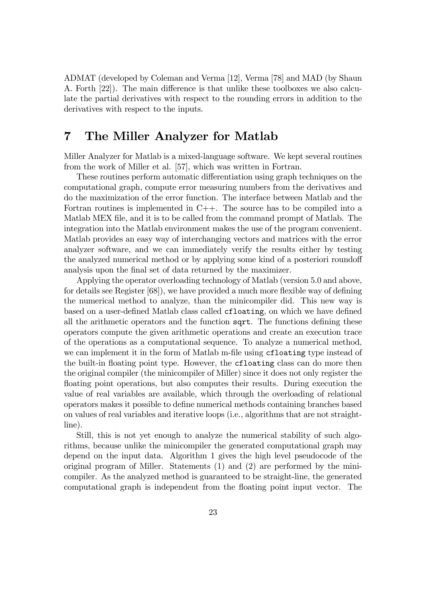ADMAT (developed by Coleman and Verma [12], Verma [78] and MAD (by Shaun A. Forth  $[22]$ . The main difference is that unlike these toolboxes we also calculate the partial derivatives with respect to the rounding errors in addition to the derivatives with respect to the inputs.

# 7 The Miller Analyzer for Matlab

Miller Analyzer for Matlab is a mixed-language software. We kept several routines from the work of Miller et al. [57], which was written in Fortran.

These routines perform automatic differentiation using graph techniques on the computational graph, compute error measuring numbers from the derivatives and do the maximization of the error function. The interface between Matlab and the Fortran routines is implemented in C++. The source has to be compiled into a Matlab MEX file, and it is to be called from the command prompt of Matlab. The integration into the Matlab environment makes the use of the program convenient. Matlab provides an easy way of interchanging vectors and matrices with the error analyzer software, and we can immediately verify the results either by testing the analyzed numerical method or by applying some kind of a posteriori roundoff analysis upon the final set of data returned by the maximizer.

Applying the operator overloading technology of Matlab (version 5.0 and above, for details see Register  $[68]$ , we have provided a much more flexible way of defining the numerical method to analyze, than the minicompiler did. This new way is based on a user-defined Matlab class called **cfloating**, on which we have defined all the arithmetic operators and the function sqrt. The functions defining these operators compute the given arithmetic operations and create an execution trace of the operations as a computational sequence. To analyze a numerical method, we can implement it in the form of Matlab m-file using **cfloating** type instead of the built-in floating point type. However, the **cfloating** class can do more then the original compiler (the minicompiler of Miller) since it does not only register the floating point operations, but also computes their results. During execution the value of real variables are available, which through the overloading of relational operators makes it possible to deÖne numerical methods containing branches based on values of real variables and iterative loops (i.e., algorithms that are not straightline).

Still, this is not yet enough to analyze the numerical stability of such algorithms, because unlike the minicompiler the generated computational graph may depend on the input data. Algorithm 1 gives the high level pseudocode of the original program of Miller. Statements (1) and (2) are performed by the minicompiler. As the analyzed method is guaranteed to be straight-line, the generated computational graph is independent from the floating point input vector. The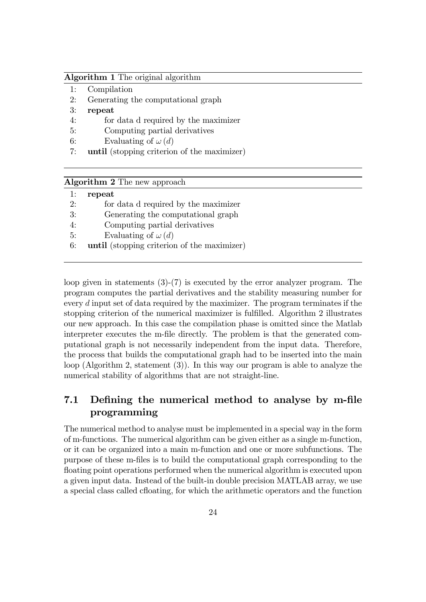### Algorithm 1 The original algorithm

- 1: Compilation
- 2: Generating the computational graph
- 3: repeat
- 4: for data d required by the maximizer
- 5: Computing partial derivatives
- 6: Evaluating of  $\omega(d)$
- 7: until (stopping criterion of the maximizer)

| <b>Algorithm 2</b> The new approach |  |  |  |  |
|-------------------------------------|--|--|--|--|
|-------------------------------------|--|--|--|--|

| 1: | repeat                                      |
|----|---------------------------------------------|
| 2: | for data d required by the maximizer        |
| 3: | Generating the computational graph          |
| 4: | Computing partial derivatives               |
| 5: | Evaluating of $\omega(d)$                   |
| 6: | until (stopping criterion of the maximizer) |

loop given in statements (3)-(7) is executed by the error analyzer program. The program computes the partial derivatives and the stability measuring number for every  $d$  input set of data required by the maximizer. The program terminates if the stopping criterion of the numerical maximizer is fulfilled. Algorithm 2 illustrates our new approach. In this case the compilation phase is omitted since the Matlab interpreter executes the m-Öle directly. The problem is that the generated computational graph is not necessarily independent from the input data. Therefore, the process that builds the computational graph had to be inserted into the main loop (Algorithm 2, statement (3)). In this way our program is able to analyze the numerical stability of algorithms that are not straight-line.

# 7.1 Defining the numerical method to analyse by m-file programming

The numerical method to analyse must be implemented in a special way in the form of m-functions. The numerical algorithm can be given either as a single m-function, or it can be organized into a main m-function and one or more subfunctions. The purpose of these m-Öles is to build the computational graph corresponding to the floating point operations performed when the numerical algorithm is executed upon a given input data. Instead of the built-in double precision MATLAB array, we use a special class called cfloating, for which the arithmetic operators and the function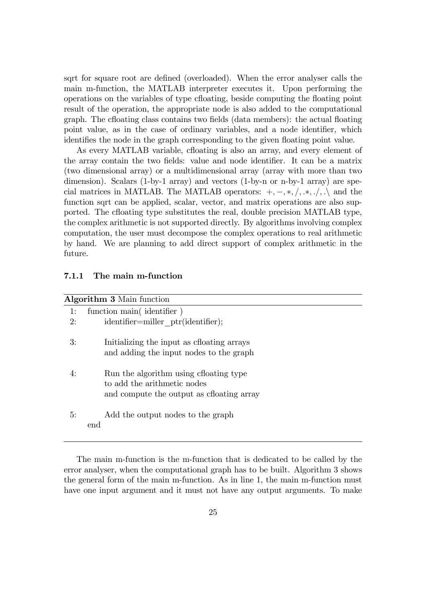sqrt for square root are defined (overloaded). When the error analyser calls the main m-function, the MATLAB interpreter executes it. Upon performing the operations on the variables of type cfloating, beside computing the floating point result of the operation, the appropriate node is also added to the computational graph. The cfloating class contains two fields (data members): the actual floating point value, as in the case of ordinary variables, and a node identifier, which identifies the node in the graph corresponding to the given floating point value.

As every MATLAB variable, cfloating is also an array, and every element of the array contain the two fields: value and node identifier. It can be a matrix (two dimensional array) or a multidimensional array (array with more than two dimension). Scalars (1-by-1 array) and vectors (1-by-n or n-by-1 array) are special matrices in MATLAB. The MATLAB operators:  $+,-,*,/,*,\ldots$  and the function sqrt can be applied, scalar, vector, and matrix operations are also supported. The cfloating type substitutes the real, double precision MATLAB type, the complex arithmetic is not supported directly. By algorithms involving complex computation, the user must decompose the complex operations to real arithmetic by hand. We are planning to add direct support of complex arithmetic in the future.

#### 7.1.1 The main m-function

|    | <b>Algorithm 3</b> Main function                                                                                  |  |  |
|----|-------------------------------------------------------------------------------------------------------------------|--|--|
| 1: | function main(identifier)                                                                                         |  |  |
| 2: | $identifier=miller$ ptr( $identifier$ );                                                                          |  |  |
| 3: | Initializing the input as choating arrays<br>and adding the input nodes to the graph                              |  |  |
| 4: | Run the algorithm using cfloating type<br>to add the arithmetic nodes<br>and compute the output as choating array |  |  |
| 5: | Add the output nodes to the graph<br>end                                                                          |  |  |

The main m-function is the m-function that is dedicated to be called by the error analyser, when the computational graph has to be built. Algorithm 3 shows the general form of the main m-function. As in line 1, the main m-function must have one input argument and it must not have any output arguments. To make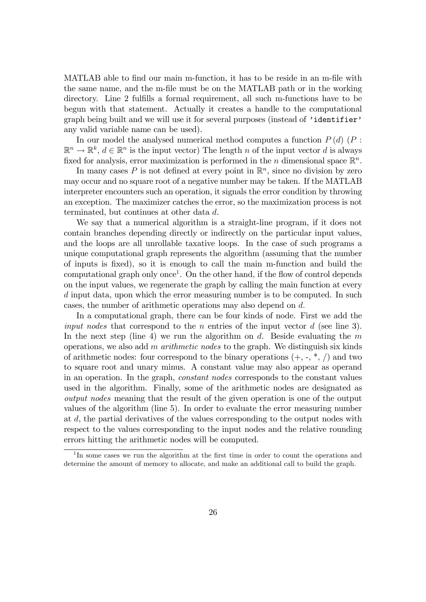MATLAB able to find our main m-function, it has to be reside in an m-file with the same name, and the m-file must be on the MATLAB path or in the working directory. Line 2 fulfills a formal requirement, all such m-functions have to be begun with that statement. Actually it creates a handle to the computational graph being built and we will use it for several purposes (instead of *'identifier'* any valid variable name can be used).

In our model the analysed numerical method computes a function  $P(d)$  ( $P$ :  $\mathbb{R}^n \to \mathbb{R}^k$ ,  $d \in \mathbb{R}^n$  is the input vector) The length n of the input vector d is always fixed for analysis, error maximization is performed in the n dimensional space  $\mathbb{R}^n$ .

In many cases P is not defined at every point in  $\mathbb{R}^n$ , since no division by zero may occur and no square root of a negative number may be taken. If the MATLAB interpreter encounters such an operation, it signals the error condition by throwing an exception. The maximizer catches the error, so the maximization process is not terminated, but continues at other data d.

We say that a numerical algorithm is a straight-line program, if it does not contain branches depending directly or indirectly on the particular input values, and the loops are all unrollable taxative loops. In the case of such programs a unique computational graph represents the algorithm (assuming that the number of inputs is Öxed), so it is enough to call the main m-function and build the computational graph only once<sup>1</sup>. On the other hand, if the flow of control depends on the input values, we regenerate the graph by calling the main function at every d input data, upon which the error measuring number is to be computed. In such cases, the number of arithmetic operations may also depend on d:

In a computational graph, there can be four kinds of node. First we add the *input nodes* that correspond to the *n* entries of the input vector  $d$  (see line 3). In the next step (line 4) we run the algorithm on d. Beside evaluating the  $m$ operations, we also add m *arithmetic nodes* to the graph. We distinguish six kinds of arithmetic nodes: four correspond to the binary operations  $(+, -, *, /)$  and two to square root and unary minus. A constant value may also appear as operand in an operation. In the graph, constant nodes corresponds to the constant values used in the algorithm. Finally, some of the arithmetic nodes are designated as output nodes meaning that the result of the given operation is one of the output values of the algorithm (line 5). In order to evaluate the error measuring number at d, the partial derivatives of the values corresponding to the output nodes with respect to the values corresponding to the input nodes and the relative rounding errors hitting the arithmetic nodes will be computed.

<sup>&</sup>lt;sup>1</sup>In some cases we run the algorithm at the first time in order to count the operations and determine the amount of memory to allocate, and make an additional call to build the graph.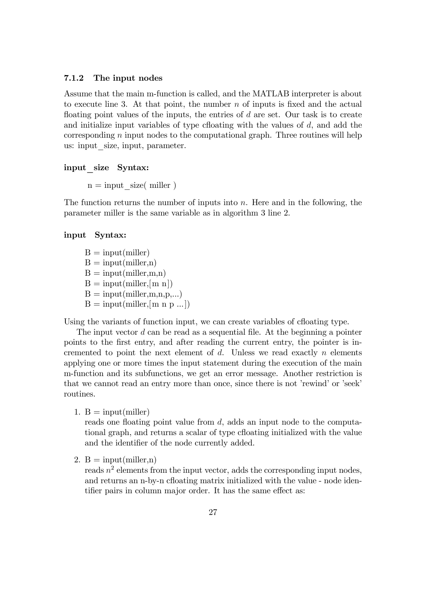#### 7.1.2 The input nodes

Assume that the main m-function is called, and the MATLAB interpreter is about to execute line 3. At that point, the number  $n$  of inputs is fixed and the actual floating point values of the inputs, the entries of  $d$  are set. Our task is to create and initialize input variables of type cfloating with the values of  $d$ , and add the corresponding  $n$  input nodes to the computational graph. Three routines will help us: input size, input, parameter.

### input\_size Syntax:

 $n = input$  size( miller)

The function returns the number of inputs into  $n$ . Here and in the following, the parameter miller is the same variable as in algorithm 3 line 2.

### input Syntax:

 $B = input(miller)$  $B = input(miller, n)$  $B = input(miller,m,n)$  $B = input(miller, [m n])$  $B = input(miller, m, n, p, ...)$  $B = input(miller, [m n p ...])$ 

Using the variants of function input, we can create variables of cfloating type.

The input vector  $d$  can be read as a sequential file. At the beginning a pointer points to the Örst entry, and after reading the current entry, the pointer is incremented to point the next element of  $d$ . Unless we read exactly  $n$  elements applying one or more times the input statement during the execution of the main m-function and its subfunctions, we get an error message. Another restriction is that we cannot read an entry more than once, since there is not 'rewind' or 'seek' routines.

1.  $B = input(miller)$ 

reads one floating point value from  $d$ , adds an input node to the computational graph, and returns a scalar of type choating initialized with the value and the identifier of the node currently added.

2.  $B = input(miller, n)$ 

reads  $n^2$  elements from the input vector, adds the corresponding input nodes, and returns an n-by-n cfloating matrix initialized with the value - node identifier pairs in column major order. It has the same effect as: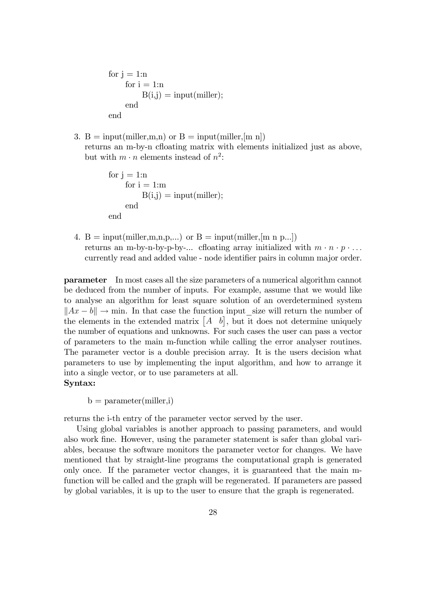```
for j = 1:nfor i = 1:nB(i,j) = input(miller);end
end
```
3. B = input(miller, m, n) or B = input(miller, [m n]) returns an m-by-n cfloating matrix with elements initialized just as above, but with  $m \cdot n$  elements instead of  $n^2$ :

```
for j = 1:nfor i = 1:m
         B(i,j) = input(miller);end
end
```
4.  $B = input(miller, m, n, p, ...)$  or  $B = input(miller, [m n p, ...])$ returns an m-by-n-by-p-by-... cfloating array initialized with  $m \cdot n \cdot p \cdot \ldots$ currently read and added value - node identifier pairs in column major order.

parameter In most cases all the size parameters of a numerical algorithm cannot be deduced from the number of inputs. For example, assume that we would like to analyse an algorithm for least square solution of an overdetermined system  $\|Ax - b\| \to \min$ . In that case the function input size will return the number of the elements in the extended matrix  $\begin{bmatrix} A & b \end{bmatrix}$ , but it does not determine uniquely the number of equations and unknowns. For such cases the user can pass a vector of parameters to the main m-function while calling the error analyser routines. The parameter vector is a double precision array. It is the users decision what parameters to use by implementing the input algorithm, and how to arrange it into a single vector, or to use parameters at all.

# Syntax:

 $b = parameter(miller, i)$ 

returns the i-th entry of the parameter vector served by the user.

Using global variables is another approach to passing parameters, and would also work Öne. However, using the parameter statement is safer than global variables, because the software monitors the parameter vector for changes. We have mentioned that by straight-line programs the computational graph is generated only once. If the parameter vector changes, it is guaranteed that the main mfunction will be called and the graph will be regenerated. If parameters are passed by global variables, it is up to the user to ensure that the graph is regenerated.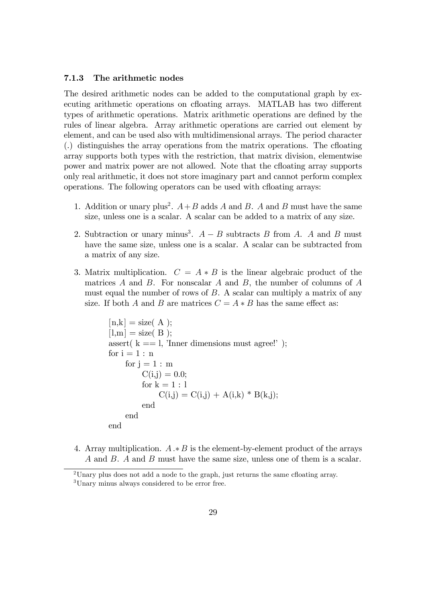#### 7.1.3 The arithmetic nodes

The desired arithmetic nodes can be added to the computational graph by executing arithmetic operations on cfloating arrays. MATLAB has two different types of arithmetic operations. Matrix arithmetic operations are defined by the rules of linear algebra. Array arithmetic operations are carried out element by element, and can be used also with multidimensional arrays. The period character  $\ldots$ ) distinguishes the array operations from the matrix operations. The cfloating array supports both types with the restriction, that matrix division, elementwise power and matrix power are not allowed. Note that the cfloating array supports only real arithmetic, it does not store imaginary part and cannot perform complex operations. The following operators can be used with cfloating arrays:

- 1. Addition or unary plus<sup>2</sup>.  $A+B$  adds A and B. A and B must have the same size, unless one is a scalar. A scalar can be added to a matrix of any size.
- 2. Subtraction or unary minus<sup>3</sup>.  $A B$  subtracts B from A. A and B must have the same size, unless one is a scalar. A scalar can be subtracted from a matrix of any size.
- 3. Matrix multiplication.  $C = A * B$  is the linear algebraic product of the matrices  $A$  and  $B$ . For nonscalar  $A$  and  $B$ , the number of columns of  $A$ must equal the number of rows of  $B$ . A scalar can multiply a matrix of any size. If both A and B are matrices  $C = A * B$  has the same effect as:

```
[n,k] = size(A);[1,m] = size(B);
assert(k == 1, 'Inner dimensions must agree!');
for i = 1 : nfor i = 1 : m
         C(i,j) = 0.0;for k = 1 : lC(i,j) = C(i,j) + A(i,k) * B(k,j);end
    end
end
```
4. Array multiplication.  $A \cdot B$  is the element-by-element product of the arrays A and B. A and B must have the same size, unless one of them is a scalar.

<sup>&</sup>lt;sup>2</sup>Unary plus does not add a node to the graph, just returns the same cfloating array.

<sup>&</sup>lt;sup>3</sup>Unary minus always considered to be error free.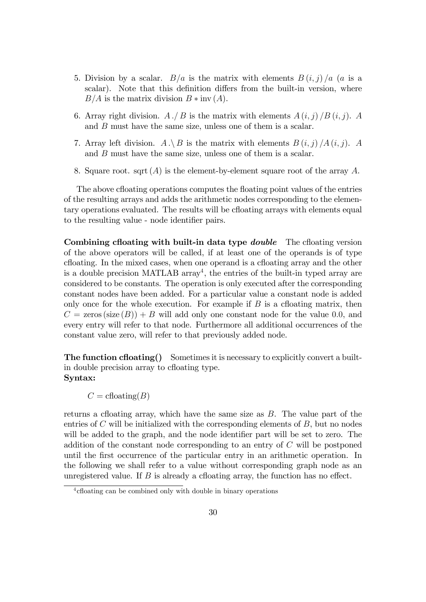- 5. Division by a scalar.  $B/a$  is the matrix with elements  $B(i, j) / a$  (a is a scalar). Note that this definition differs from the built-in version, where  $B/A$  is the matrix division  $B * inv(A)$ .
- 6. Array right division.  $A \cdot \! / B$  is the matrix with elements  $A(i, j) / B(i, j)$ . A and B must have the same size, unless one of them is a scalar.
- 7. Array left division.  $A \setminus B$  is the matrix with elements  $B(i, j) / A(i, j)$ . A and B must have the same size, unless one of them is a scalar.
- 8. Square root. sqrt  $(A)$  is the element-by-element square root of the array A.

The above cfloating operations computes the floating point values of the entries of the resulting arrays and adds the arithmetic nodes corresponding to the elementary operations evaluated. The results will be choating arrays with elements equal to the resulting value - node identifier pairs.

Combining cfloating with built-in data type *double* The cfloating version of the above operators will be called, if at least one of the operands is of type cfloating. In the mixed cases, when one operand is a cfloating array and the other is a double precision MATLAB array<sup>4</sup>, the entries of the built-in typed array are considered to be constants. The operation is only executed after the corresponding constant nodes have been added. For a particular value a constant node is added only once for the whole execution. For example if  $B$  is a cfloating matrix, then  $C = \text{zeros}(size(B)) + B$  will add only one constant node for the value 0.0, and every entry will refer to that node. Furthermore all additional occurrences of the constant value zero, will refer to that previously added node.

**The function cfloating()** Sometimes it is necessary to explicitly convert a builtin double precision array to chaoting type. Syntax:

 $C = \text{cfloating}(B)$ 

returns a cfloating array, which have the same size as  $B$ . The value part of the entries of  $C$  will be initialized with the corresponding elements of  $B$ , but no nodes will be added to the graph, and the node identifier part will be set to zero. The addition of the constant node corresponding to an entry of C will be postponed until the first occurrence of the particular entry in an arithmetic operation. In the following we shall refer to a value without corresponding graph node as an unregistered value. If  $B$  is already a cfloating array, the function has no effect.

<sup>&</sup>lt;sup>4</sup> cfloating can be combined only with double in binary operations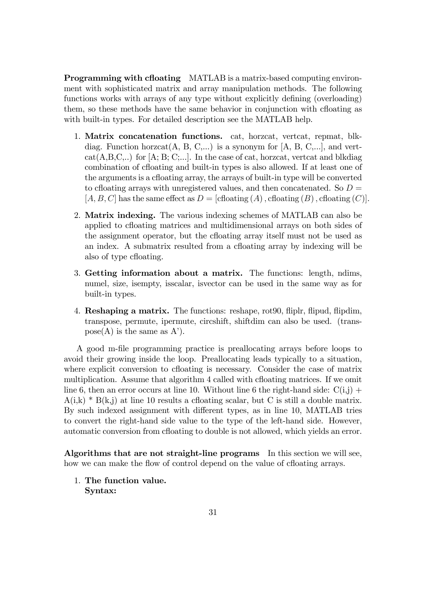**Programming with cfloating** MATLAB is a matrix-based computing environment with sophisticated matrix and array manipulation methods. The following functions works with arrays of any type without explicitly defining (overloading) them, so these methods have the same behavior in conjunction with chaoting as with built-in types. For detailed description see the MATLAB help.

- 1. Matrix concatenation functions. cat, horzcat, vertcat, repmat, blkdiag. Function horzcat $(A, B, C,...)$  is a synonym for  $[A, B, C,...]$ , and vert $cat(A,B,C,..)$  for [A; B; C;...]. In the case of cat, horzcat, vertcat and blkdiag combination of cfloating and built-in types is also allowed. If at least one of the arguments is a chaoting array, the arrays of built-in type will be converted to cfloating arrays with unregistered values, and then concatenated. So  $D =$  $[A, B, C]$  has the same effect as  $D = [c \text{floating}(A), c \text{floating}(B), c \text{floating}(C)].$
- 2. Matrix indexing. The various indexing schemes of MATLAB can also be applied to cfloating matrices and multidimensional arrays on both sides of the assignment operator, but the cfloating array itself must not be used as an index. A submatrix resulted from a cfloating array by indexing will be also of type cfloating.
- 3. Getting information about a matrix. The functions: length, ndims, numel, size, isempty, isscalar, isvector can be used in the same way as for built-in types.
- 4. Reshaping a matrix. The functions: reshape, rot90, áiplr, áipud, áipdim, transpose, permute, ipermute, circshift, shiftdim can also be used. (trans $pose(A)$  is the same as A').

A good m-Öle programming practice is preallocating arrays before loops to avoid their growing inside the loop. Preallocating leads typically to a situation, where explicit conversion to cfloating is necessary. Consider the case of matrix multiplication. Assume that algorithm 4 called with cfloating matrices. If we omit line 6, then an error occurs at line 10. Without line 6 the right-hand side:  $C(i,j)$  +  $A(i,k) * B(k,j)$  at line 10 results a cfloating scalar, but C is still a double matrix. By such indexed assignment with different types, as in line 10, MATLAB tries to convert the right-hand side value to the type of the left-hand side. However, automatic conversion from cfloating to double is not allowed, which yields an error.

Algorithms that are not straight-line programs In this section we will see, how we can make the flow of control depend on the value of cfloating arrays.

1. The function value. Syntax: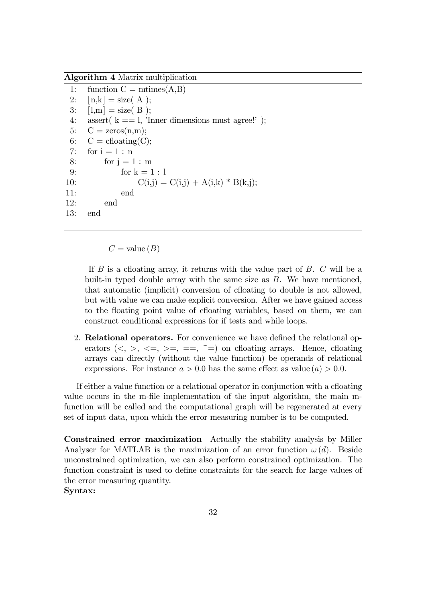Algorithm 4 Matrix multiplication

1: function  $C = \text{mtimes}(A,B)$ 2:  $[n,k] = size(A)$ ; 3:  $[l,m] = size(B)$ ; 4: assert( $k == 1$ , 'Inner dimensions must agree!'); 5:  $C = \text{zeros}(n,m);$ 6:  $C = \text{choding}(C);$ 7: for  $i = 1 : n$ 8: for  $i = 1 : m$ 9: for  $k = 1 : 1$ 10:  $C(i,j) = C(i,j) + A(i,k) * B(k,j);$ 11: end 12: end 13: end

 $C =$  value  $(B)$ 

If  $B$  is a cfloating array, it returns with the value part of  $B$ .  $C$  will be a built-in typed double array with the same size as  $B$ . We have mentioned, that automatic (implicit) conversion of cfloating to double is not allowed, but with value we can make explicit conversion. After we have gained access to the floating point value of cfloating variables, based on them, we can construct conditional expressions for if tests and while loops.

2. Relational operators. For convenience we have defined the relational operators  $(<, >, <=, >=, ==, ==)$  on cfloating arrays. Hence, cfloating arrays can directly (without the value function) be operands of relational expressions. For instance  $a > 0.0$  has the same effect as value  $(a) > 0.0$ .

If either a value function or a relational operator in conjunction with a cfloating value occurs in the m-file implementation of the input algorithm, the main mfunction will be called and the computational graph will be regenerated at every set of input data, upon which the error measuring number is to be computed.

Constrained error maximization Actually the stability analysis by Miller Analyser for MATLAB is the maximization of an error function  $\omega(d)$ . Beside unconstrained optimization, we can also perform constrained optimization. The function constraint is used to define constraints for the search for large values of the error measuring quantity.

Syntax: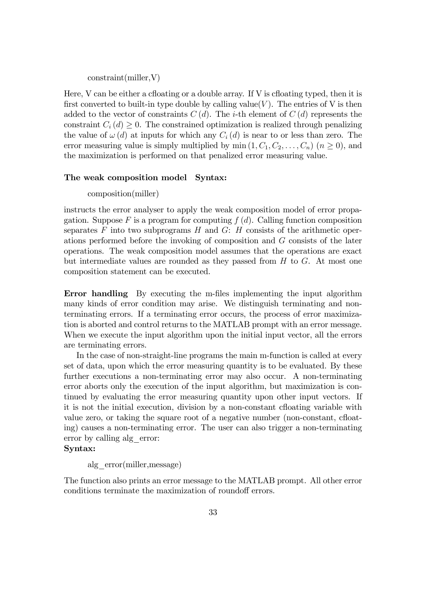constraint(miller,V)

Here, V can be either a cfloating or a double array. If V is cfloating typed, then it is first converted to built-in type double by calling value(V). The entries of V is then added to the vector of constraints  $C(d)$ . The *i*-th element of  $C(d)$  represents the constraint  $C_i(d) \geq 0$ . The constrained optimization is realized through penalizing the value of  $\omega(d)$  at inputs for which any  $C_i(d)$  is near to or less than zero. The error measuring value is simply multiplied by min  $(1, C_1, C_2, \ldots, C_n)$   $(n \ge 0)$ , and the maximization is performed on that penalized error measuring value.

#### The weak composition model Syntax:

#### composition(miller)

instructs the error analyser to apply the weak composition model of error propagation. Suppose F is a program for computing  $f(d)$ . Calling function composition separates  $F$  into two subprograms  $H$  and  $G: H$  consists of the arithmetic operations performed before the invoking of composition and G consists of the later operations. The weak composition model assumes that the operations are exact but intermediate values are rounded as they passed from  $H$  to  $G$ . At most one composition statement can be executed.

Error handling By executing the m-files implementing the input algorithm many kinds of error condition may arise. We distinguish terminating and nonterminating errors. If a terminating error occurs, the process of error maximization is aborted and control returns to the MATLAB prompt with an error message. When we execute the input algorithm upon the initial input vector, all the errors are terminating errors.

In the case of non-straight-line programs the main m-function is called at every set of data, upon which the error measuring quantity is to be evaluated. By these further executions a non-terminating error may also occur. A non-terminating error aborts only the execution of the input algorithm, but maximization is continued by evaluating the error measuring quantity upon other input vectors. If it is not the initial execution, division by a non-constant cfloating variable with value zero, or taking the square root of a negative number (non-constant, cfloating) causes a non-terminating error. The user can also trigger a non-terminating error by calling alg\_error:

### Syntax:

alg\_error(miller,message)

The function also prints an error message to the MATLAB prompt. All other error conditions terminate the maximization of roundoff errors.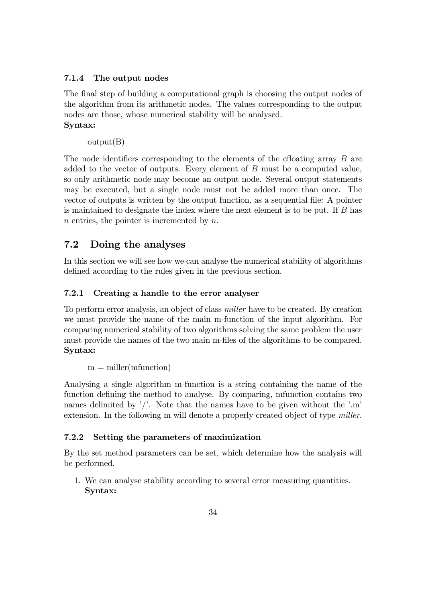# 7.1.4 The output nodes

The final step of building a computational graph is choosing the output nodes of the algorithm from its arithmetic nodes. The values corresponding to the output nodes are those, whose numerical stability will be analysed. Syntax:

output(B)

The node identifiers corresponding to the elements of the cfloating array  $B$  are added to the vector of outputs. Every element of B must be a computed value, so only arithmetic node may become an output node. Several output statements may be executed, but a single node must not be added more than once. The vector of outputs is written by the output function, as a sequential Öle: A pointer is maintained to designate the index where the next element is to be put. If B has  $n$  entries, the pointer is incremented by  $n$ .

# 7.2 Doing the analyses

In this section we will see how we can analyse the numerical stability of algorithms defined according to the rules given in the previous section.

# 7.2.1 Creating a handle to the error analyser

To perform error analysis, an object of class miller have to be created. By creation we must provide the name of the main m-function of the input algorithm. For comparing numerical stability of two algorithms solving the same problem the user must provide the names of the two main m-files of the algorithms to be compared. Syntax:

 $m =$  miller(mfunction)

Analysing a single algorithm m-function is a string containing the name of the function defining the method to analyse. By comparing, mfunction contains two names delimited by  $\prime\prime$ . Note that the names have to be given without the  $\prime\cdot\text{m}$ extension. In the following m will denote a properly created object of type *miller*.

### 7.2.2 Setting the parameters of maximization

By the set method parameters can be set, which determine how the analysis will be performed.

1. We can analyse stability according to several error measuring quantities. Syntax: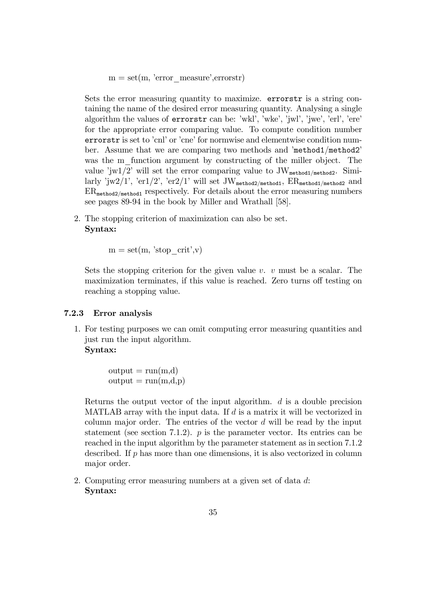$m = set(m, 'error\_measure', errorstr)$ 

Sets the error measuring quantity to maximize. errorstr is a string containing the name of the desired error measuring quantity. Analysing a single algorithm the values of errorstr can be: 'wkl', 'wke', 'jwl', 'jwe', 'erl', 'ere' for the appropriate error comparing value. To compute condition number errorstr is set to 'cnl' or 'cne' for normwise and elementwise condition number. Assume that we are comparing two methods and 'method1/method2' was the m function argument by constructing of the miller object. The value 'jw1/2' will set the error comparing value to  $JW_{\text{method1/method2}}$ . Similarly 'jw2/1', 'er1/2', 'er2/1' will set JW<sub>method2/method1</sub>,  $ER_{\text{method1}, \text{method2}}$  and  $ER_{\text{method2}/\text{method1}}$  respectively. For details about the error measuring numbers see pages 89-94 in the book by Miller and Wrathall [58].

2. The stopping criterion of maximization can also be set. Syntax:

 $m = set(m, 'stop–crit', v)$ 

Sets the stopping criterion for the given value  $v$ .  $v$  must be a scalar. The maximization terminates, if this value is reached. Zero turns off testing on reaching a stopping value.

#### 7.2.3 Error analysis

1. For testing purposes we can omit computing error measuring quantities and just run the input algorithm. Syntax:

> $output = run(m,d)$  $output = run(m,d,p)$

Returns the output vector of the input algorithm. d is a double precision MATLAB array with the input data. If  $d$  is a matrix it will be vectorized in column major order. The entries of the vector  $d$  will be read by the input statement (see section 7.1.2).  $p$  is the parameter vector. Its entries can be reached in the input algorithm by the parameter statement as in section 7.1.2 described. If  $p$  has more than one dimensions, it is also vectorized in column major order.

2. Computing error measuring numbers at a given set of data d: Syntax: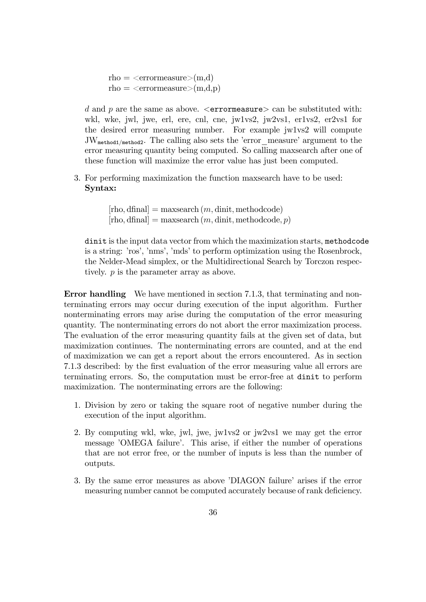rho  $=$  <errormeasure>(m,d) rho  $=$  <errormeasure>(m,d,p)

d and p are the same as above.  $\leq$ errormeasure $\geq$  can be substituted with: wkl, wke, jwl, jwe, erl, ere, cnl, cne, jw1vs2, jw2vs1, er1vs2, er2vs1 for the desired error measuring number. For example jw1vs2 will compute  $JW_{\text{method1/method2}}$ . The calling also sets the 'error\_measure' argument to the error measuring quantity being computed. So calling maxsearch after one of these function will maximize the error value has just been computed.

3. For performing maximization the function maxsearch have to be used: Syntax:

> $[\text{rho}, \text{dfinal}] = \text{maxsearch}(m, \text{dinit}, \text{methodcode})$  $[\text{rho}, \text{dfinal}] = \text{maxsearch}(m, \text{dinit}, \text{methodcode}, p)$

dinit is the input data vector from which the maximization starts, methodcode is a string: 'ros', 'nms', 'mds' to perform optimization using the Rosenbrock, the Nelder-Mead simplex, or the Multidirectional Search by Torczon respectively. p is the parameter array as above.

Error handling We have mentioned in section 7.1.3, that terminating and nonterminating errors may occur during execution of the input algorithm. Further nonterminating errors may arise during the computation of the error measuring quantity. The nonterminating errors do not abort the error maximization process. The evaluation of the error measuring quantity fails at the given set of data, but maximization continues. The nonterminating errors are counted, and at the end of maximization we can get a report about the errors encountered. As in section 7.1.3 described: by the first evaluation of the error measuring value all errors are terminating errors. So, the computation must be error-free at dinit to perform maximization. The nonterminating errors are the following:

- 1. Division by zero or taking the square root of negative number during the execution of the input algorithm.
- 2. By computing wkl, wke, jwl, jwe, jw1vs2 or jw2vs1 we may get the error message 'OMEGA failure'. This arise, if either the number of operations that are not error free, or the number of inputs is less than the number of outputs.
- 3. By the same error measures as above 'DIAGON failure' arises if the error measuring number cannot be computed accurately because of rank deficiency.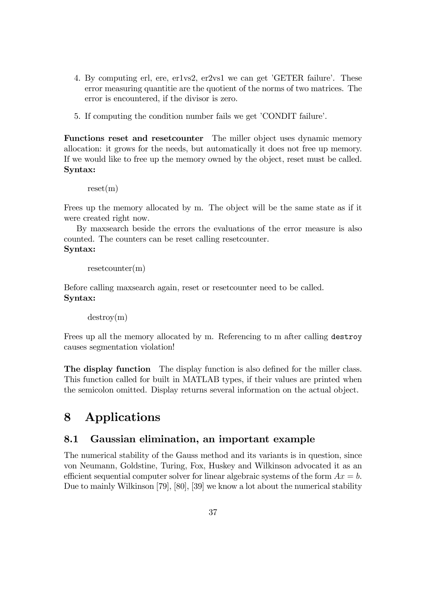- 4. By computing erl, ere, er1vs2, er2vs1 we can get 'GETER failure'. These error measuring quantitie are the quotient of the norms of two matrices. The error is encountered, if the divisor is zero.
- 5. If computing the condition number fails we get 'CONDIT failure'.

Functions reset and reset counter The miller object uses dynamic memory allocation: it grows for the needs, but automatically it does not free up memory. If we would like to free up the memory owned by the object, reset must be called. Syntax:

 $reset(m)$ 

Frees up the memory allocated by m. The object will be the same state as if it were created right now.

By maxsearch beside the errors the evaluations of the error measure is also counted. The counters can be reset calling resetcounter. Syntax:

```
resetcounter(m)
```
Before calling maxsearch again, reset or resetcounter need to be called. Syntax:

destroy(m)

Frees up all the memory allocated by m. Referencing to m after calling destroy causes segmentation violation!

The display function The display function is also defined for the miller class. This function called for built in MATLAB types, if their values are printed when the semicolon omitted. Display returns several information on the actual object.

# 8 Applications

# 8.1 Gaussian elimination, an important example

The numerical stability of the Gauss method and its variants is in question, since von Neumann, Goldstine, Turing, Fox, Huskey and Wilkinson advocated it as an efficient sequential computer solver for linear algebraic systems of the form  $Ax = b$ . Due to mainly Wilkinson [79], [80], [39] we know a lot about the numerical stability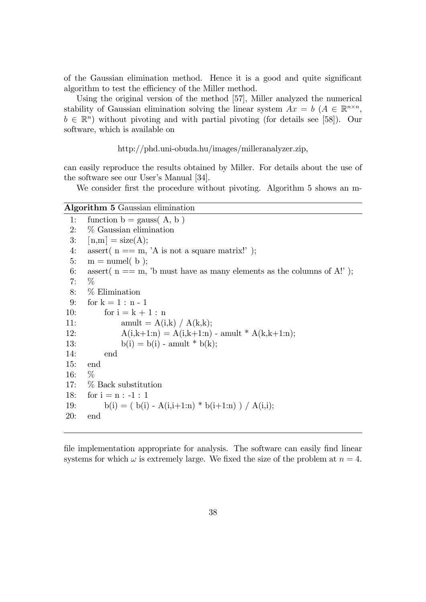of the Gaussian elimination method. Hence it is a good and quite significant algorithm to test the efficiency of the Miller method.

Using the original version of the method [57], Miller analyzed the numerical stability of Gaussian elimination solving the linear system  $Ax = b$   $(A \in \mathbb{R}^{n \times n},$  $b \in \mathbb{R}^n$  without pivoting and with partial pivoting (for details see [58]). Our software, which is available on

http://phd.uni-obuda.hu/images/milleranalyzer.zip,

can easily reproduce the results obtained by Miller. For details about the use of the software see our User's Manual [34].

We consider first the procedure without pivoting. Algorithm 5 shows an m-

# Algorithm 5 Gaussian elimination

1: function  $b =$  gauss $(A, b)$ 2: % Gaussian elimination 3:  $[n,m] = size(A);$ 4: assert(  $n == m$ , 'A is not a square matrix!'); 5:  $m =$  numel(b); 6: assert  $n == m$ , 'b must have as many elements as the columns of A!'); 7: % 8: % Elimination 9: for  $k = 1 : n - 1$ 10: for  $i = k + 1 : n$ 11:  $amult = A(i,k) / A(k,k);$ 12:  $A(i,k+1:n) = A(i,k+1:n)$  - amult \*  $A(k,k+1:n)$ ; 13:  $b(i) = b(i)$  - amult \*  $b(k)$ ; 14: end 15: end 16: % 17: % Back substitution 18: for  $i = n : -1 : 1$ 19: b(i) = ( b(i) - A(i,i+1:n) \* b(i+1:n) ) / A(i,i); 20: end

file implementation appropriate for analysis. The software can easily find linear systems for which  $\omega$  is extremely large. We fixed the size of the problem at  $n = 4$ .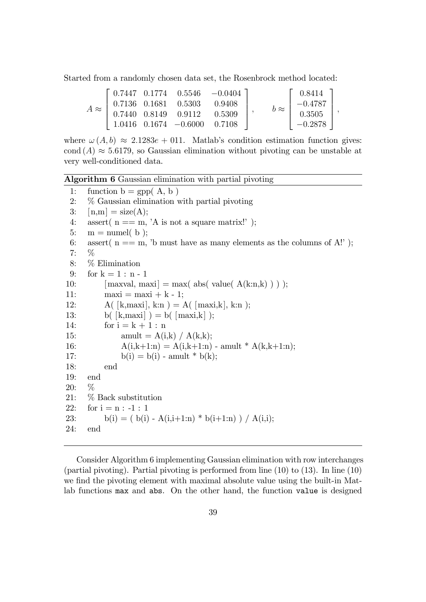Started from a randomly chosen data set, the Rosenbrock method located:

$$
A \approx \left[\begin{array}{cccc} 0.7447 & 0.1774 & 0.5546 & -0.0404 \\ 0.7136 & 0.1681 & 0.5303 & 0.9408 \\ 0.7440 & 0.8149 & 0.9112 & 0.5309 \\ 1.0416 & 0.1674 & -0.6000 & 0.7108 \end{array}\right], \qquad b \approx \left[\begin{array}{c} 0.8414 \\ -0.4787 \\ 0.3505 \\ -0.2878 \end{array}\right],
$$

where  $\omega(A, b) \approx 2.1283e + 0.11$ . Matlab's condition estimation function gives: cond  $(A) \approx 5.6179$ , so Gaussian elimination without pivoting can be unstable at very well-conditioned data.

Algorithm 6 Gaussian elimination with partial pivoting

1: function  $b = gpp(A, b)$ 2: % Gaussian elimination with partial pivoting 3:  $[n,m] = size(A);$ 4: assert(  $n == m$ , 'A is not a square matrix!'); 5:  $m =$  numel(b); 6: assert  $n == m$ , 'b must have as many elements as the columns of A!'); 7: % 8: % Elimination 9: for  $k = 1 : n - 1$ 10:  $[\text{maxval}, \text{maxi}] = \text{max}(\text{abs}(\text{value}(A(k:n,k))));$ 11:  $maxi = maxi + k - 1;$ 12:  $A([k, max], k:n) = A([max, k], k:n);$ 13: b(  $[k, \text{maxi}]$  ) = b(  $[\text{maxi}, k]$  ); 14: for  $i = k + 1 : n$ 15: amult =  $A(i,k) / A(k,k);$ 16:  $A(i,k+1:n) = A(i,k+1:n)$  - amult \*  $A(k,k+1:n)$ ; 17:  $b(i) = b(i)$  - amult \*  $b(k)$ ; 18: end 19: end 20: % 21: % Back substitution 22: for  $i = n : -1 : 1$ 23: b(i) = ( b(i) - A(i,i+1:n) \* b(i+1:n) ) / A(i,i); 24: end

Consider Algorithm 6 implementing Gaussian elimination with row interchanges (partial pivoting). Partial pivoting is performed from line (10) to (13). In line (10) we find the pivoting element with maximal absolute value using the built-in Matlab functions max and abs. On the other hand, the function value is designed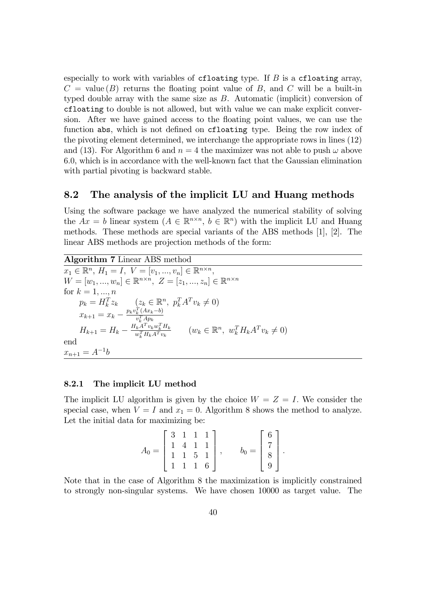especially to work with variables of cfloating type. If  $B$  is a cfloating array,  $C =$  value  $(B)$  returns the floating point value of B, and C will be a built-in typed double array with the same size as  $B$ . Automatic (implicit) conversion of cfloating to double is not allowed, but with value we can make explicit conversion. After we have gained access to the floating point values, we can use the function abs, which is not defined on cfloating type. Being the row index of the pivoting element determined, we interchange the appropriate rows in lines (12) and (13). For Algorithm 6 and  $n = 4$  the maximizer was not able to push  $\omega$  above 6:0, which is in accordance with the well-known fact that the Gaussian elimination with partial pivoting is backward stable.

# 8.2 The analysis of the implicit LU and Huang methods

Using the software package we have analyzed the numerical stability of solving the  $Ax = b$  linear system  $(A \in \mathbb{R}^{n \times n}, b \in \mathbb{R}^n)$  with the implicit LU and Huang methods. These methods are special variants of the ABS methods [1], [2]. The linear ABS methods are projection methods of the form:

Algorithm 7 Linear ABS method  $x_1 \in \mathbb{R}^n, H_1 = I, V = [v_1, ..., v_n] \in \mathbb{R}^{n \times n},$  $W = [w_1, ..., w_n] \in \mathbb{R}^{n \times n}, Z = [z_1, ..., z_n] \in \mathbb{R}^{n \times n}$ for  $k = 1, ..., n$  $p_k = H_k^T z_k \qquad (z_k \in \mathbb{R}^n, \ p_k^T A^T v_k \neq 0)$  $x_{k+1} = x_k - \frac{p_k v_k^T (Ax_k - b)}{v_k^T A p_k}$  $v_k^T A p_k$  $H_{k+1} = H_k - \frac{H_kA^Tv_kw_k^TH_k}{w_k^TH_kA^Tv_k}$  $\frac{w_k^{R} A^T v_k w_k^{R} H_k}{w_k^{T} H_k A^{T} v_k}$   $(w_k \in \mathbb{R}^n, w_k^{T} H_k A^{T} v_k \neq 0)$ end  $x_{n+1} = A^{-1}b$ 

#### 8.2.1 The implicit LU method

The implicit LU algorithm is given by the choice  $W = Z = I$ . We consider the special case, when  $V = I$  and  $x_1 = 0$ . Algorithm 8 shows the method to analyze. Let the initial data for maximizing be:

$$
A_0 = \begin{bmatrix} 3 & 1 & 1 & 1 \\ 1 & 4 & 1 & 1 \\ 1 & 1 & 5 & 1 \\ 1 & 1 & 1 & 6 \end{bmatrix}, \qquad b_0 = \begin{bmatrix} 6 \\ 7 \\ 8 \\ 9 \end{bmatrix}.
$$

Note that in the case of Algorithm 8 the maximization is implicitly constrained to strongly non-singular systems. We have chosen 10000 as target value. The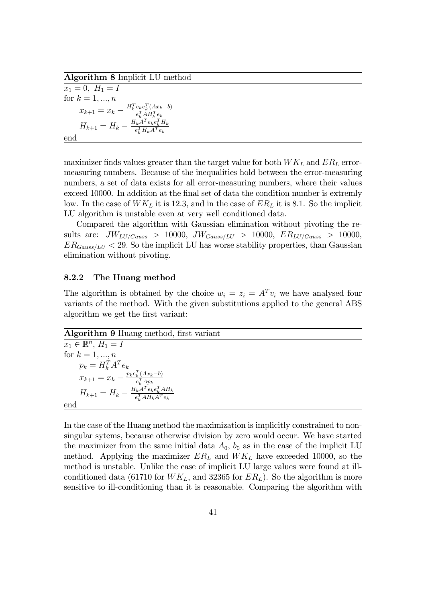Algorithm 8 Implicit LU method

 $x_1 = 0, H_1 = I$ for  $k = 1, ..., n$  $x_{k+1} = x_k - \frac{H_k^T e_k e_k^T (Ax_k - b)}{e_k^T A H_k^T e_k}$  $e_k^T A H_k^T e_k$  $H_{k+1} = H_k - \frac{H_kA^Te_ke_k^TH_k}{e_k^TH_kA^Te_k}$  $e_k^TH_kA^Te_k$ end

maximizer finds values greater than the target value for both  $WK_L$  and  $ER_L$  errormeasuring numbers. Because of the inequalities hold between the error-measuring numbers, a set of data exists for all error-measuring numbers, where their values exceed 10000. In addition at the final set of data the condition number is extremly low. In the case of  $WK_L$  it is 12.3, and in the case of  $ER_L$  it is 8.1. So the implicit LU algorithm is unstable even at very well conditioned data.

Compared the algorithm with Gaussian elimination without pivoting the results are:  $JW_{LU/Gauss} > 10000, \ JW_{Gauss/LU} > 10000, \ ER_{LU/Gauss} > 10000,$  $ER_{Gauss/LU} < 29$ . So the implicit LU has worse stability properties, than Gaussian elimination without pivoting.

## 8.2.2 The Huang method

The algorithm is obtained by the choice  $w_i = z_i = A^T v_i$  we have analysed four variants of the method. With the given substitutions applied to the general ABS algorithm we get the first variant:

### Algorithm 9 Huang method, first variant

 $x_1 \in \mathbb{R}^n$ ,  $H_1 = I$ for  $k = 1, ..., n$  $p_k = H_k^T A^T e_k$  $x_{k+1} = x_k - \frac{p_k e_k^T (Ax_k - b)}{e_k^T A p_k}$  $e_k^T A p_k$  $H_{k+1} = H_k - \frac{H_k A^T e_k e_k^T A H_k}{e_k^T A H_k A^T e_k}$  $e_k^T A H_k A^T e_k$ end

In the case of the Huang method the maximization is implicitly constrained to nonsingular sytems, because otherwise division by zero would occur. We have started the maximizer from the same initial data  $A_0$ ,  $b_0$  as in the case of the implicit LU method. Applying the maximizer  $ER_L$  and  $WK_L$  have exceeded 10000, so the method is unstable. Unlike the case of implicit LU large values were found at illconditioned data (61710 for  $WK_L$ , and 32365 for  $ER_L$ ). So the algorithm is more sensitive to ill-conditioning than it is reasonable. Comparing the algorithm with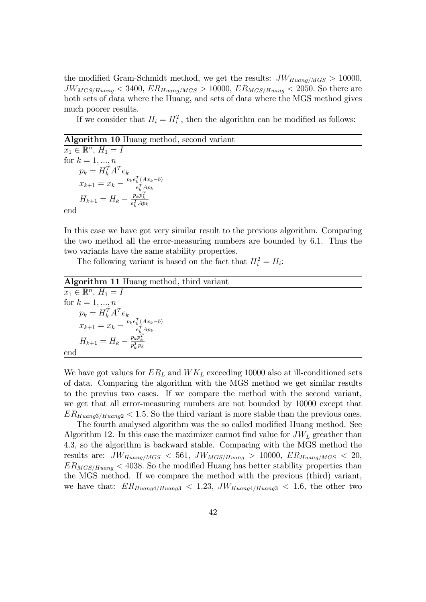the modified Gram-Schmidt method, we get the results:  $JW_{Huang/MGS} > 10000$ ,  $JW_{MGS/Huang} < 3400, ER_{Huang/MGS} > 10000, ER_{MGS/Huang} < 2050$ . So there are both sets of data where the Huang, and sets of data where the MGS method gives much poorer results.

If we consider that  $H_i = H_i^T$ , then the algorithm can be modified as follows:

### Algorithm 10 Huang method, second variant

 $x_1 \in \mathbb{R}^n$ ,  $H_1 = I$ for  $k = 1, ..., n$  $p_k = H_k^T A^T e_k$  $x_{k+1} = x_k - \frac{p_k e_k^T (Ax_k - b)}{e_k^T A p_k}$  $e_k^T A p_k$  $H_{k+1} = H_k - \frac{p_k p_k^T}{e_k^T A p_k}$ end

In this case we have got very similar result to the previous algorithm. Comparing the two method all the error-measuring numbers are bounded by 6.1. Thus the two variants have the same stability properties.

The following variant is based on the fact that  $H_i^2 = H_i$ :

Algorithm 11 Huang method, third variant

$$
\begin{aligned}\n\overline{x}_1 \in \mathbb{R}^n, H_1 &= I \\
\text{for } k = 1, \dots, n \\
p_k &= H_k^T A^T e_k \\
x_{k+1} &= x_k - \frac{p_k e_k^T (A x_k - b)}{e_k^T A p_k} \\
H_{k+1} &= H_k - \frac{p_k p_k^T}{p_k^T p_k}\n\end{aligned}
$$
\nend

We have got values for  $ER_L$  and  $WK_L$  exceeding 10000 also at ill-conditioned sets of data. Comparing the algorithm with the MGS method we get similar results to the previus two cases. If we compare the method with the second variant, we get that all error-measuring numbers are not bounded by 10000 except that  $ER_{Huang3/Huang2} < 1.5$ . So the third variant is more stable than the previous ones.

The fourth analysed algorithm was the so called modified Huang method. See Algorithm 12. In this case the maximizer cannot find value for  $JW_L$  greather than 4.3, so the algorithm is backward stable. Comparing with the MGS method the results are:  $JW_{Huang/MGS}$  < 561,  $JW_{MGS/Huang} > 10000$ ,  $ER_{Huang/MGS}$  < 20,  $ER_{MGS/Huang} < 4038$ . So the modified Huang has better stability properties than the MGS method. If we compare the method with the previous (third) variant, we have that:  $ER_{Huang4/Huang3} < 1.23$ ,  $JW_{Huang4/Huang3} < 1.6$ , the other two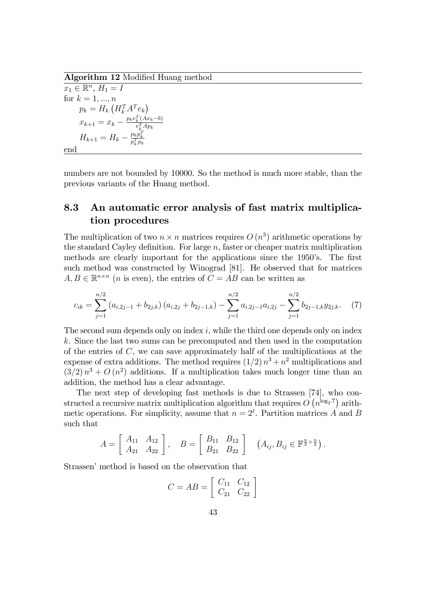Algorithm 12 Modified Huang method

 $x_1 \in \mathbb{R}^n$ ,  $H_1 = I$ for  $k = 1, ..., n$  $p_k = H_k \left( H_k^T A^T e_k \right)$  $x_{k+1} = x_k - \frac{p_k e_k^T (Ax_k - b)}{e_k^T A p_k}$  $e_k^T A p_k$  $H_{k+1} = H_k - \frac{p_k p_k^T}{p_k^T p_k}$ end

numbers are not bounded by 10000. So the method is much more stable, than the previous variants of the Huang method.

# 8.3 An automatic error analysis of fast matrix multiplication procedures

The multiplication of two  $n \times n$  matrices requires  $O(n^3)$  arithmetic operations by the standard Cayley definition. For large  $n$ , faster or cheaper matrix multiplication methods are clearly important for the applications since the 1950's. The first such method was constructed by Winograd [81]. He observed that for matrices  $A, B \in \mathbb{R}^{n \times n}$  (*n* is even), the entries of  $C = AB$  can be written as

$$
c_{ik} = \sum_{j=1}^{n/2} (a_{i,2j-1} + b_{2j,k}) (a_{i,2j} + b_{2j-1,k}) - \sum_{j=1}^{n/2} a_{i,2j-1} a_{i,2j} - \sum_{j=1}^{n/2} b_{2j-1,k} y_{2j,k}.
$$
 (7)

The second sum depends only on index  $i$ , while the third one depends only on index k. Since the last two sums can be precomputed and then used in the computation of the entries of C, we can save approximately half of the multiplications at the expense of extra additions. The method requires  $(1/2) n<sup>3</sup> + n<sup>2</sup>$  multiplications and  $(3/2) n<sup>3</sup> + O(n<sup>2</sup>)$  additions. If a multiplication takes much longer time than an addition, the method has a clear advantage.

The next step of developing fast methods is due to Strassen [74], who constructed a recursive matrix multiplication algorithm that requires  $O(n^{\log_2 7})$  arithmetic operations. For simplicity, assume that  $n = 2^{\ell}$ . Partition matrices A and B such that

$$
A = \begin{bmatrix} A_{11} & A_{12} \\ A_{21} & A_{22} \end{bmatrix}, \quad B = \begin{bmatrix} B_{11} & B_{12} \\ B_{21} & B_{22} \end{bmatrix} \quad (A_{ij}, B_{ij} \in \mathbb{F}^{\frac{n}{2} \times \frac{n}{2}}).
$$

Strassen' method is based on the observation that

$$
C = AB = \left[ \begin{array}{cc} C_{11} & C_{12} \\ C_{21} & C_{22} \end{array} \right]
$$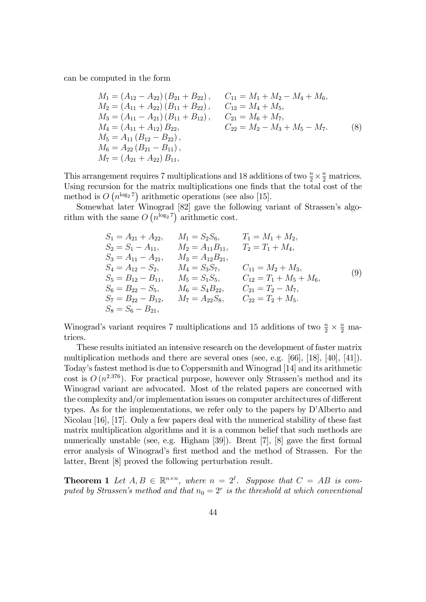can be computed in the form

$$
M_1 = (A_{12} - A_{22}) (B_{21} + B_{22}), \t C_{11} = M_1 + M_2 - M_4 + M_6,
$$
  
\n
$$
M_2 = (A_{11} + A_{22}) (B_{11} + B_{22}), \t C_{12} = M_4 + M_5,
$$
  
\n
$$
M_3 = (A_{11} - A_{21}) (B_{11} + B_{12}), \t C_{21} = M_6 + M_7,
$$
  
\n
$$
M_4 = (A_{11} + A_{12}) B_{22}, \t C_{22} = M_2 - M_3 + M_5 - M_7.
$$
  
\n
$$
M_5 = A_{11} (B_{12} - B_{22}),
$$
  
\n
$$
M_6 = A_{22} (B_{21} - B_{11}),
$$
  
\n
$$
M_7 = (A_{21} + A_{22}) B_{11},
$$
  
\n(8)

This arrangement requires 7 multiplications and 18 additions of two  $\frac{n}{2} \times \frac{n}{2}$  matrices. Using recursion for the matrix multiplications one finds that the total cost of the method is  $O(n^{\log_2 7})$  arithmetic operations (see also [15].

Somewhat later Winograd [82] gave the following variant of Strassen's algorithm with the same  $O(n^{\log_2 7})$  arithmetic cost.

$$
S_1 = A_{21} + A_{22}, \t M_1 = S_2 S_6, \t T_1 = M_1 + M_2,\nS_2 = S_1 - A_{11}, \t M_2 = A_{11} B_{11}, \t T_2 = T_1 + M_4,\nS_3 = A_{11} - A_{21}, \t M_3 = A_{12} B_{21},\nS_4 = A_{12} - S_2, \t M_4 = S_3 S_7, \t C_{11} = M_2 + M_3,\nS_5 = B_{12} - B_{11}, \t M_5 = S_1 S_5, \t C_{12} = T_1 + M_5 + M_6,\nS_6 = B_{22} - S_5, \t M_6 = S_4 B_{22}, \t C_{21} = T_2 - M_7,\nS_7 = B_{22} - B_{12}, \t M_7 = A_{22} S_8, \t C_{22} = T_2 + M_5.
$$
\n(9)

Winograd's variant requires 7 multiplications and 15 additions of two  $\frac{n}{2} \times \frac{n}{2}$  matrices.

These results initiated an intensive research on the development of faster matrix multiplication methods and there are several ones (see, e.g. [66], [18], [40], [41]). Todayís fastest method is due to Coppersmith and Winograd [14] and its arithmetic cost is  $O(n^{2.376})$ . For practical purpose, however only Strassen's method and its Winograd variant are advocated. Most of the related papers are concerned with the complexity and/or implementation issues on computer architectures of different types. As for the implementations, we refer only to the papers by D'Alberto and Nicolau [16], [17]. Only a few papers deal with the numerical stability of these fast matrix multiplication algorithms and it is a common belief that such methods are numerically unstable (see, e.g. Higham  $[39]$ ). Brent  $[7]$ ,  $[8]$  gave the first formal error analysis of Winograd's first method and the method of Strassen. For the latter, Brent [8] proved the following perturbation result.

**Theorem 1** Let  $A, B \in \mathbb{R}^{n \times n}$ , where  $n = 2^{\ell}$ . Suppose that  $C = AB$  is computed by Strassen's method and that  $n_0 = 2^r$  is the threshold at which conventional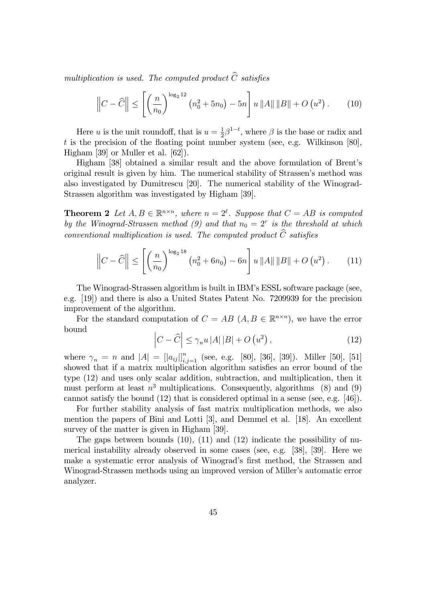multiplication is used. The computed product  $\widehat{C}$  satisfies

$$
\left\| C - \widehat{C} \right\| \le \left[ \left( \frac{n}{n_0} \right)^{\log_2 12} \left( n_0^2 + 5n_0 \right) - 5n \right] u \left\| A \right\| \left\| B \right\| + O \left( u^2 \right). \tag{10}
$$

Here u is the unit roundoff, that is  $u=\frac{1}{2}$  $\frac{1}{2}\beta^{1-t}$ , where  $\beta$  is the base or radix and t is the precision of the floating point number system (see, e.g. Wilkinson [80], Higham [39] or Muller et al. [62]).

Higham [38] obtained a similar result and the above formulation of Brent's original result is given by him. The numerical stability of Strassen's method was also investigated by Dumitrescu [20]. The numerical stability of the Winograd-Strassen algorithm was investigated by Higham [39].

**Theorem 2** Let  $A, B \in \mathbb{R}^{n \times n}$ , where  $n = 2^{\ell}$ . Suppose that  $C = AB$  is computed by the Winograd-Strassen method (9) and that  $n_0 = 2^r$  is the threshold at which conventional multiplication is used. The computed product  $\widehat{C}$  satisfies

$$
\left\|C - \widehat{C}\right\| \le \left[ \left(\frac{n}{n_0}\right)^{\log_2 18} \left(n_0^2 + 6n_0\right) - 6n \right] u \left\|A\right\| \left\|B\right\| + O\left(u^2\right). \tag{11}
$$

The Winograd-Strassen algorithm is built in IBMís ESSL software package (see, e.g. [19]) and there is also a United States Patent No. 7209939 for the precision improvement of the algorithm.

For the standard computation of  $C = AB$   $(A, B \in \mathbb{R}^{n \times n})$ , we have the error bound

$$
\left|C - \widehat{C}\right| \le \gamma_n u \left|A\right| \left|B\right| + O\left(u^2\right),\tag{12}
$$

where  $\gamma_n = n$  and  $|A| = [|a_{ij}|]_{i,j=1}^n$  (see, e.g. [80], [36], [39]). Miller [50], [51] showed that if a matrix multiplication algorithm satisfies an error bound of the type (12) and uses only scalar addition, subtraction, and multiplication, then it must perform at least  $n^3$  multiplications. Consequently, algorithms (8) and (9) cannot satisfy the bound (12) that is considered optimal in a sense (see, e.g. [46]).

For further stability analysis of fast matrix multiplication methods, we also mention the papers of Bini and Lotti [3], and Demmel et al. [18]. An excellent survey of the matter is given in Higham [39].

The gaps between bounds  $(10)$ ,  $(11)$  and  $(12)$  indicate the possibility of numerical instability already observed in some cases (see, e.g. [38], [39]. Here we make a systematic error analysis of Winograd's first method, the Strassen and Winograd-Strassen methods using an improved version of Miller's automatic error analyzer.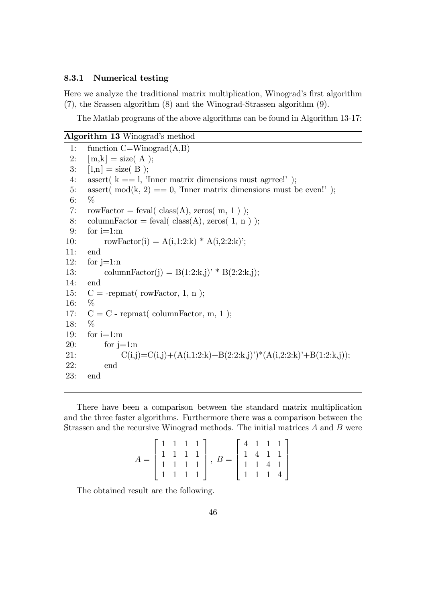### 8.3.1 Numerical testing

Here we analyze the traditional matrix multiplication, Winograd's first algorithm (7), the Srassen algorithm (8) and the Winograd-Strassen algorithm (9).

The Matlab programs of the above algorithms can be found in Algorithm 13-17:

# Algorithm 13 Winograd's method 1: function  $C=Winograd(A,B)$ 2:  $[m,k] = size(A)$ ; 3:  $[1,n] = size(B)$ ; 4: assert( $k == 1$ , 'Inner matrix dimensions must agrree!'); 5: assert( mod(k, 2) = = 0, 'Inner matrix dimensions must be even!'); 6: % 7: rowFactor = feval(  $class(A)$ , zeros( m, 1); 8: columnFactor = feval(  $class(A)$ , zeros( 1, n); 9: for  $i=1:m$ 10: rowFactor(i) =  $A(i,1:2:k) * A(i,2:2:k)$ ; 11: end 12: for  $i=1:n$ 13: columnFactor(j) = B(1:2:k,j)<sup>\*</sup> B(2:2:k,j); 14: end 15:  $C = -$ repmat(rowFactor, 1, n); 16: % 17:  $C = C$  - repmat( columnFactor, m, 1); 18: % 19: for  $i=1:m$ 20: for  $j=1:n$ 21:  $C(i,j)=C(i,j)+(A(i,1:2:k)+B(2:2:k,j))*(A(i,2:2:k)+B(1:2:k,j));$ 22: end 23: end

There have been a comparison between the standard matrix multiplication and the three faster algorithms. Furthermore there was a comparison between the Strassen and the recursive Winograd methods. The initial matrices A and B were

$$
A = \begin{bmatrix} 1 & 1 & 1 & 1 \\ 1 & 1 & 1 & 1 \\ 1 & 1 & 1 & 1 \\ 1 & 1 & 1 & 1 \end{bmatrix}, B = \begin{bmatrix} 4 & 1 & 1 & 1 \\ 1 & 4 & 1 & 1 \\ 1 & 1 & 4 & 1 \\ 1 & 1 & 1 & 4 \end{bmatrix}
$$

The obtained result are the following.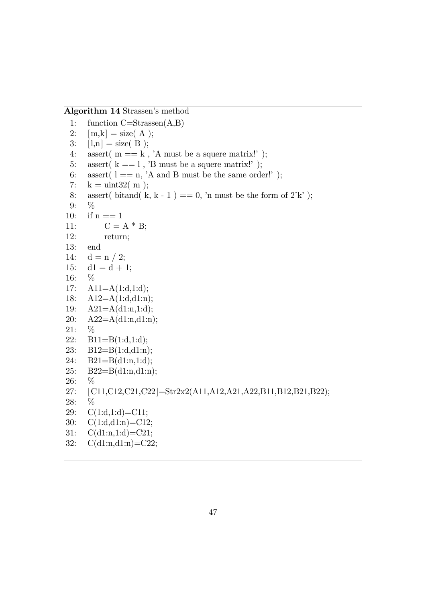Algorithm 14 Strassen's method

1: function C=Strassen(A,B) 2:  $[m,k] = size(A);$ 3:  $[1,n] = size(B);$ 4: assert(  $m == k$ , 'A must be a squere matrix!'); 5: assert  $(k == 1, 'B \text{ must be a square matrix}$ *'*); 6: assert( $l == n$ , 'A and B must be the same order!'); 7:  $k = \text{uint32} (\text{ m});$ 8: assert( bitand( k, k - 1) = = 0, 'n must be the form of  $2^k$ ); 9: % 10: if  $n == 1$ 11:  $C = A * B;$ 12: return; 13: end 14:  $d = n / 2;$ 15:  $d1 = d + 1;$ 16: % 17:  $A11=A(1:d,1:d);$ 18: A12=A(1:d,d1:n); 19: A21=A(d1:n,1:d); 20: A22=A(d1:n,d1:n); 21: % 22:  $B11=B(1:d,1:d);$ 23: B12=B(1:d,d1:n); 24: B21=B(d1:n,1:d); 25:  $B22=B(d1:n,d1:n);$ 26: % 27: [C11,C12,C21,C22]=Str2x2(A11,A12,A21,A22,B11,B12,B21,B22); 28: % 29:  $C(1:d,1:d)=C11;$ 30: C(1:d,d1:n)=C12; 31: C(d1:n,1:d)=C21; 32: C(d1:n,d1:n)=C22;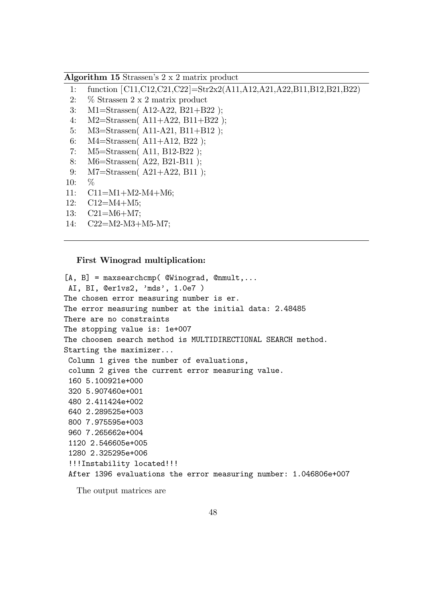Algorithm 15 Strassenís 2 x 2 matrix product

- 1: function [C11,C12,C21,C22]=Str2x2(A11,A12,A21,A22,B11,B12,B21,B22)
- 2: % Strassen 2 x 2 matrix product
- 3: M1=Strassen( A12-A22, B21+B22 );
- 4: M2=Strassen( A11+A22, B11+B22 );
- 5: M3=Strassen( A11-A21, B11+B12 );
- 6: M4=Strassen( A11+A12, B22 );
- 7: M5=Strassen( A11, B12-B22 );
- 8: M6=Strassen( A22, B21-B11 );
- 9: M7=Strassen( A21+A22, B11 );
- 10: %
- 11: C11=M1+M2-M4+M6;
- 12: C12=M4+M5;
- 13: C21=M6+M7;
- 14: C22=M2-M3+M5-M7;

#### First Winograd multiplication:

```
[A, B] = maxsearchcmp( @Winograd, @mmult, \ldotsAI, BI, @er1vs2, 'mds', 1.0e7 )
The chosen error measuring number is er.
The error measuring number at the initial data: 2.48485
There are no constraints
The stopping value is: 1e+007
The choosen search method is MULTIDIRECTIONAL SEARCH method.
Starting the maximizer...
 Column 1 gives the number of evaluations,
 column 2 gives the current error measuring value.
 160 5.100921e+000
 320 5.907460e+001
 480 2.411424e+002
 640 2.289525e+003
 800 7.975595e+003
 960 7.265662e+004
 1120 2.546605e+005
 1280 2.325295e+006
 !!!Instability located!!!
 After 1396 evaluations the error measuring number: 1.046806e+007
```
The output matrices are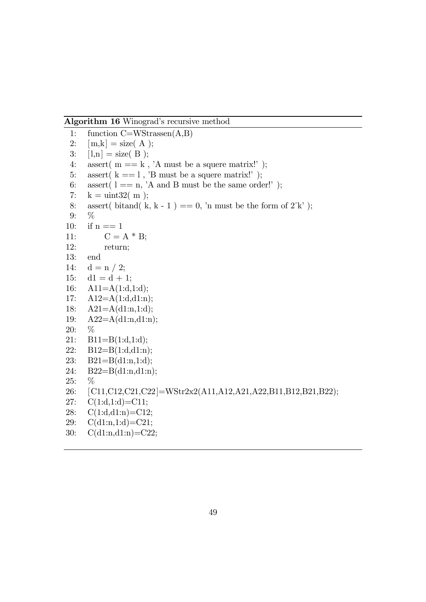Algorithm 16 Winograd's recursive method

```
1: function C=WStrassen(A,B)
 2: [m,k] = size(A);
 3: [1,n] = size(B);
 4: assert(m == k, 'A must be a squere matrix!');
 5: assert(k == 1, 'B must be a squere matrix!');
 6: assert l = n, <sup>'</sup>A and B must be the same order!' );
 7: k = \text{uint32} (\text{ m});8: assert( bitand( k, k - 1) = = 0, 'n must be the form of 2^k);
9: %
10: if n == 111: C = A * B;12: return;
13: end
14: d = n / 2;15: d1 = d + 1;16: \text{A11} = \text{A}(1:\text{d},1:\text{d});17: A12=A(1:d,d1:n);18: A21 = A(d1:n,1:d);19: A22=A(d1:n,d1:n);
20: %
21: B11=B(1:d,1:d);22: B12=B(1:d,d1:n);
23: B21=B(d1:n,1:d);
24: B22=B(d1:n,d1:n);
25: %
26: [C11,C12,C21,C22]=WStr2x2(A11,A12,A21,A22,B11,B12,B21,B22);
27: C(1:d,1:d) = C11;28: C(1:d,d1:n)=C12;29: C(d1:n,1:d)=C21;
30: C(d1:n,d1:n)=C22;
```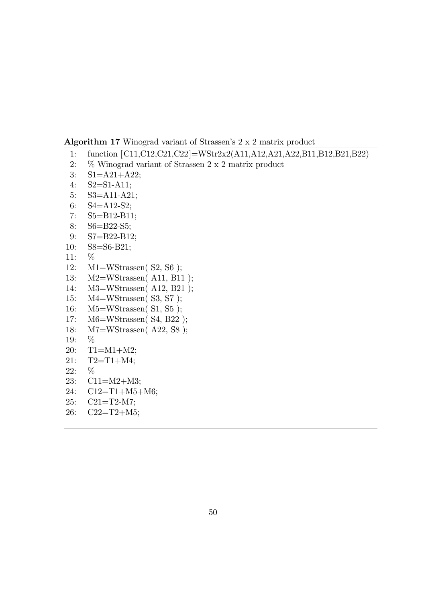# Algorithm 17 Winograd variant of Strassen's 2 x 2 matrix product

- : function [C11,C12,C21,C22]=WStr2x2(A11,A12,A21,A22,B11,B12,B21,B22)
- : % Winograd variant of Strassen 2 x 2 matrix product
- : S1=A21+A22;
- : S2=S1-A11;
- : S3=A11-A21;
- : S4=A12-S2;
- : S5=B12-B11;
- : S6=B22-S5;
- : S7=B22-B12;
- : S8=S6-B21;
- : %
- : M1=WStrassen( S2, S6 );
- : M2=WStrassen( A11, B11 );
- : M3=WStrassen( A12, B21 );
- : M4=WStrassen( S3, S7 );
- : M5=WStrassen( S1, S5 );
- : M6=WStrassen( S4, B22 );
- : M7=WStrassen( A22, S8 );
- : %
- : T1=M1+M2;
- : T2=T1+M4;
- : %
- : C11=M2+M3;
- : C12=T1+M5+M6;
- : C21=T2-M7;
- : C22=T2+M5;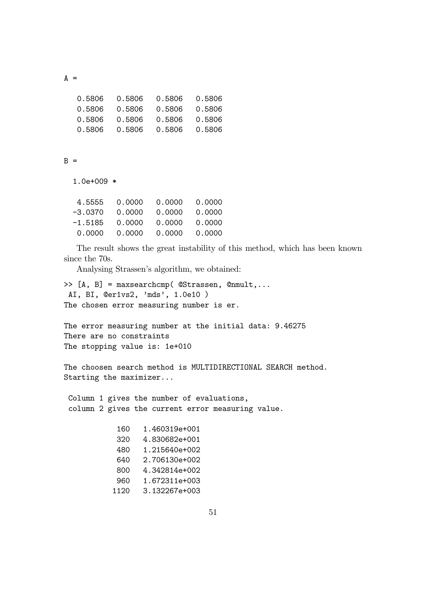$A =$ 

| 0.5806 | 0.5806 | 0.5806 | 0.5806 |
|--------|--------|--------|--------|
| 0.5806 | 0.5806 | 0.5806 | 0.5806 |
| 0.5806 | 0.5806 | 0.5806 | 0.5806 |
| 0.5806 | 0.5806 | 0.5806 | 0.5806 |

### $B =$

1.0e+009 \*

| 4.5555  | 0.0000 | 0.0000 | 0.0000 |
|---------|--------|--------|--------|
| -3.0370 | 0.0000 | 0.0000 | 0.0000 |
| -1.5185 | 0.0000 | 0.0000 | 0.0000 |
| 0.0000  | 0.0000 | 0.0000 | 0.0000 |
|         |        |        |        |

The result shows the great instability of this method, which has been known since the 70s.

Analysing Strassen's algorithm, we obtained:

```
>> [A, B] = maxsearchcmp( @Strassen, @nmult,...
AI, BI, @er1vs2, 'mds', 1.0e10 )
The chosen error measuring number is er.
```
The error measuring number at the initial data: 9.46275 There are no constraints The stopping value is: 1e+010

The choosen search method is MULTIDIRECTIONAL SEARCH method. Starting the maximizer...

Column 1 gives the number of evaluations, column 2 gives the current error measuring value.

| 160  | 1.460319e+001 |
|------|---------------|
| 320  | 4.830682e+001 |
| 480  | 1.215640e+002 |
| 640  | 2.706130e+002 |
| 800  | 4.342814e+002 |
| 960  | 1.672311e+003 |
| 1120 | 3.132267e+003 |
|      |               |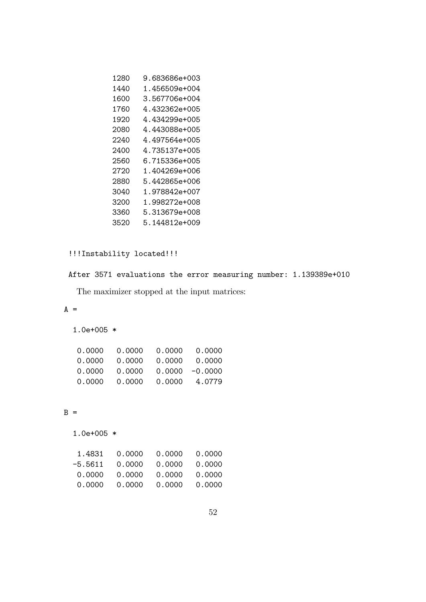| 1280 | 9.683686e+003 |
|------|---------------|
| 1440 | 1.456509e+004 |
| 1600 | 3.567706e+004 |
| 1760 | 4.432362e+005 |
| 1920 | 4.434299e+005 |
| 2080 | 4.443088e+005 |
| 2240 | 4.497564e+005 |
| 2400 | 4.735137e+005 |
| 2560 | 6.715336e+005 |
| 2720 | 1.404269e+006 |
| 2880 | 5.442865e+006 |
| 3040 | 1.978842e+007 |
| 3200 | 1.998272e+008 |
| 3360 | 5.313679e+008 |
| 3520 | 5.144812e+009 |

# !!!Instability located!!!

# After 3571 evaluations the error measuring number: 1.139389e+010

The maximizer stopped at the input matrices:

# $A =$

1.0e+005 \*

| 0.0000 | 0.0000 | 0.0000 | 0.0000            |
|--------|--------|--------|-------------------|
| 0.0000 | 0.0000 | 0.0000 | 0.0000            |
| 0.0000 | 0.0000 |        | $0.0000 - 0.0000$ |
| 0.0000 | 0.0000 | 0.0000 | 4.0779            |

# $B =$

1.0e+005 \*

| 1.4831  | 0.0000 | 0.0000 | 0.0000 |
|---------|--------|--------|--------|
| -5.5611 | 0.0000 | 0.0000 | 0.0000 |
| 0.0000  | 0.0000 | 0.0000 | 0.0000 |
| 0.0000  | 0.0000 | 0.0000 | 0.0000 |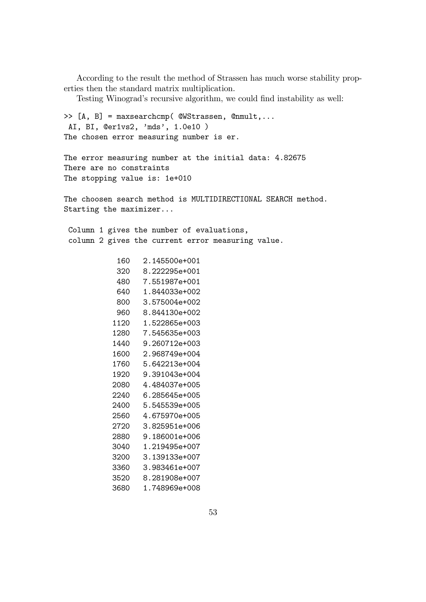According to the result the method of Strassen has much worse stability properties then the standard matrix multiplication.

Testing Winograd's recursive algorithm, we could find instability as well:

```
>> [A, B] = maxsearchcmp( @WStrassen, @nmult,...
AI, BI, @er1vs2, 'mds', 1.0e10 )
The chosen error measuring number is er.
The error measuring number at the initial data: 4.82675
There are no constraints
The stopping value is: 1e+010
The choosen search method is MULTIDIRECTIONAL SEARCH method.
Starting the maximizer...
Column 1 gives the number of evaluations,
 column 2 gives the current error measuring value.
           160 2.145500e+001
           320 8.222295e+001
           480 7.551987e+001
           640 1.844033e+002
           800 3.575004e+002
           960 8.844130e+002
          1120 1.522865e+003
          1280 7.545635e+003
          1440 9.260712e+003
          1600 2.968749e+004
          1760 5.642213e+004
          1920 9.391043e+004
          2080 4.484037e+005
          2240 6.285645e+005
          2400 5.545539e+005
          2560 4.675970e+005
          2720 3.825951e+006
          2880 9.186001e+006
          3040 1.219495e+007
          3200 3.139133e+007
          3360 3.983461e+007
```
3520 8.281908e+007 3680 1.748969e+008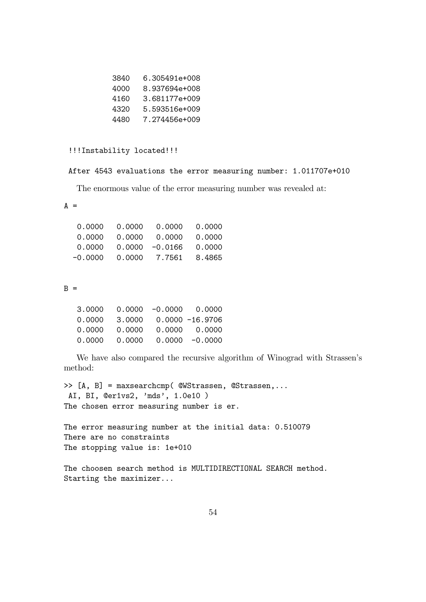| 6.305491e+008         |  |
|-----------------------|--|
| 8.937694e+008<br>4000 |  |
| 3.681177e+009<br>4160 |  |
| 5.593516e+009<br>4320 |  |
| 7.274456e+009<br>4480 |  |

!!!Instability located!!!

After 4543 evaluations the error measuring number: 1.011707e+010

The enormous value of the error measuring number was revealed at:

 $A =$ 

| 0.0000    | 0.0000 | 0.0000            | 0.0000 |
|-----------|--------|-------------------|--------|
| 0.0000    | 0.0000 | 0.0000            | 0.0000 |
| 0.0000    |        | $0.0000 - 0.0166$ | 0.0000 |
| $-0.0000$ | 0.0000 | 7.7561            | 8.4865 |

### $B =$

| 3,0000 |        | $0.0000 - 0.0000 0.0000$ |
|--------|--------|--------------------------|
| 0.0000 | 3,0000 | $0.0000 - 16.9706$       |
| 0.0000 | 0.0000 | 0.0000 0.0000            |
| 0.0000 | 0.0000 | $0.0000 - 0.0000$        |

We have also compared the recursive algorithm of Winograd with Strassen's method:

>> [A, B] = maxsearchcmp( @WStrassen, @Strassen,... AI, BI, @er1vs2, 'mds', 1.0e10 ) The chosen error measuring number is er.

The error measuring number at the initial data: 0.510079 There are no constraints The stopping value is: 1e+010

The choosen search method is MULTIDIRECTIONAL SEARCH method. Starting the maximizer...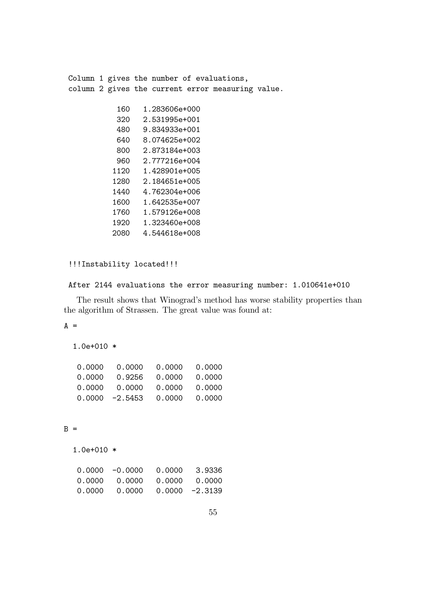Column 1 gives the number of evaluations, column 2 gives the current error measuring value. 160 1.283606e+000 320 2.531995e+001 480 9.834933e+001 640 8.074625e+002 800 2.873184e+003 960 2.777216e+004 1120 1.428901e+005 1280 2.184651e+005 1440 4.762304e+006 1600 1.642535e+007 1760 1.579126e+008 1920 1.323460e+008 2080 4.544618e+008

#### !!!Instability located!!!

#### After 2144 evaluations the error measuring number: 1.010641e+010

The result shows that Winograd's method has worse stability properties than the algorithm of Strassen. The great value was found at:

# $A =$

```
1.0e+010 *
```

| 0.0000 | 0.0000            | 0.0000 | 0.0000 |
|--------|-------------------|--------|--------|
| 0.0000 | 0.9256            | 0.0000 | 0.0000 |
| 0.0000 | 0.0000            | 0.0000 | 0.0000 |
|        | $0.0000 - 2.5453$ | 0.0000 | 0.0000 |

# $B =$

```
1.0e+010 *
```

| $0.0000 -0.0000 0.0000 3.9336$       |  |
|--------------------------------------|--|
|                                      |  |
| $0.0000$ $0.0000$ $0.0000$ $-2.3139$ |  |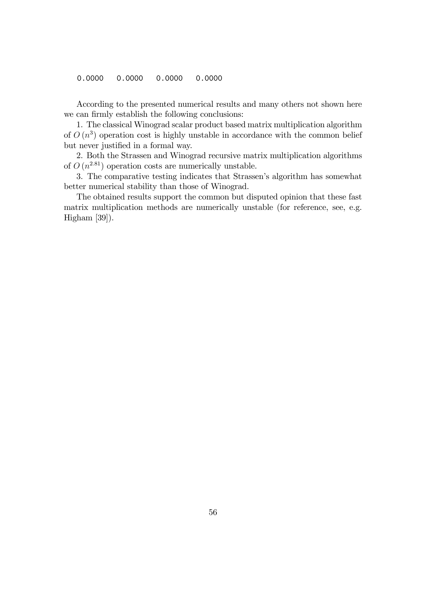0.0000 0.0000 0.0000 0.0000

According to the presented numerical results and many others not shown here we can firmly establish the following conclusions:

1. The classical Winograd scalar product based matrix multiplication algorithm of  $O(n^3)$  operation cost is highly unstable in accordance with the common belief but never justified in a formal way.

2. Both the Strassen and Winograd recursive matrix multiplication algorithms of  $O(n^{2.81})$  operation costs are numerically unstable.

3. The comparative testing indicates that Strassen's algorithm has somewhat better numerical stability than those of Winograd.

The obtained results support the common but disputed opinion that these fast matrix multiplication methods are numerically unstable (for reference, see, e.g. Higham [39]).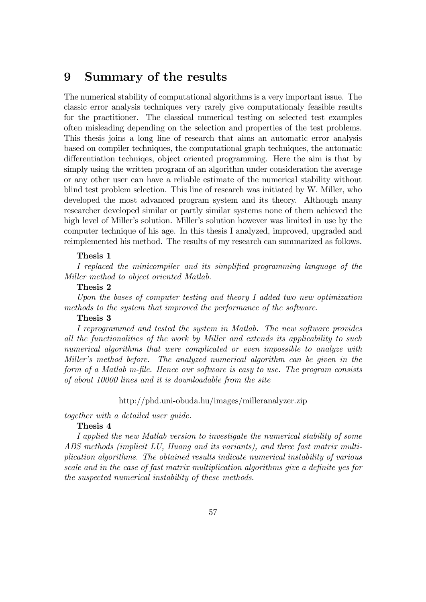# 9 Summary of the results

The numerical stability of computational algorithms is a very important issue. The classic error analysis techniques very rarely give computationaly feasible results for the practitioner. The classical numerical testing on selected test examples often misleading depending on the selection and properties of the test problems. This thesis joins a long line of research that aims an automatic error analysis based on compiler techniques, the computational graph techniques, the automatic differentiation techniqes, object oriented programming. Here the aim is that by simply using the written program of an algorithm under consideration the average or any other user can have a reliable estimate of the numerical stability without blind test problem selection. This line of research was initiated by W. Miller, who developed the most advanced program system and its theory. Although many researcher developed similar or partly similar systems none of them achieved the high level of Miller's solution. Miller's solution however was limited in use by the computer technique of his age. In this thesis I analyzed, improved, upgraded and reimplemented his method. The results of my research can summarized as follows.

### Thesis 1

I replaced the minicompiler and its simplified programming language of the Miller method to object oriented Matlab.

#### Thesis 2

Upon the bases of computer testing and theory I added two new optimization methods to the system that improved the performance of the software.

#### Thesis 3

I reprogrammed and tested the system in Matlab. The new software provides all the functionalities of the work by Miller and extends its applicability to such numerical algorithms that were complicated or even impossible to analyze with Miller's method before. The analyzed numerical algorithm can be given in the form of a Matlab m-file. Hence our software is easy to use. The program consists of about 10000 lines and it is downloadable from the site

### http://phd.uni-obuda.hu/images/milleranalyzer.zip

together with a detailed user guide.

# Thesis 4

I applied the new Matlab version to investigate the numerical stability of some ABS methods (implicit LU, Huang and its variants), and three fast matrix multiplication algorithms. The obtained results indicate numerical instability of various scale and in the case of fast matrix multiplication algorithms give a definite yes for the suspected numerical instability of these methods.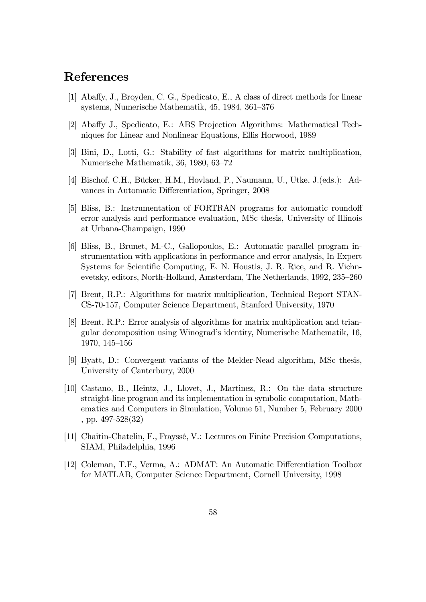# References

- [1] Aba§y, J., Broyden, C. G., Spedicato, E., A class of direct methods for linear systems, Numerische Mathematik, 45, 1984, 361–376
- [2] Abaffy J., Spedicato, E.: ABS Projection Algorithms: Mathematical Techniques for Linear and Nonlinear Equations, Ellis Horwood, 1989
- [3] Bini, D., Lotti, G.: Stability of fast algorithms for matrix multiplication, Numerische Mathematik, 36, 1980, 63–72
- [4] Bischof, C.H., Bücker, H.M., Hovland, P., Naumann, U., Utke, J. (eds.): Advances in Automatic Differentiation, Springer, 2008
- [5] Bliss, B.: Instrumentation of FORTRAN programs for automatic roundoff error analysis and performance evaluation, MSc thesis, University of Illinois at Urbana-Champaign, 1990
- [6] Bliss, B., Brunet, M.-C., Gallopoulos, E.: Automatic parallel program instrumentation with applications in performance and error analysis, In Expert Systems for Scientific Computing, E. N. Houstis, J. R. Rice, and R. Vichnevetsky, editors, North-Holland, Amsterdam, The Netherlands, 1992, 235–260
- [7] Brent, R.P.: Algorithms for matrix multiplication, Technical Report STAN-CS-70-157, Computer Science Department, Stanford University, 1970
- [8] Brent, R.P.: Error analysis of algorithms for matrix multiplication and triangular decomposition using Winogradís identity, Numerische Mathematik, 16, 1970, 145–156
- [9] Byatt, D.: Convergent variants of the Melder-Nead algorithm, MSc thesis, University of Canterbury, 2000
- [10] Castano, B., Heintz, J., Llovet, J., Martinez, R.: On the data structure straight-line program and its implementation in symbolic computation, Mathematics and Computers in Simulation, Volume 51, Number 5, February 2000 , pp. 497-528(32)
- [11] Chaitin-Chatelin, F., FrayssÈ, V.: Lectures on Finite Precision Computations, SIAM, Philadelphia, 1996
- [12] Coleman, T.F., Verma, A.: ADMAT: An Automatic Differentiation Toolbox for MATLAB, Computer Science Department, Cornell University, 1998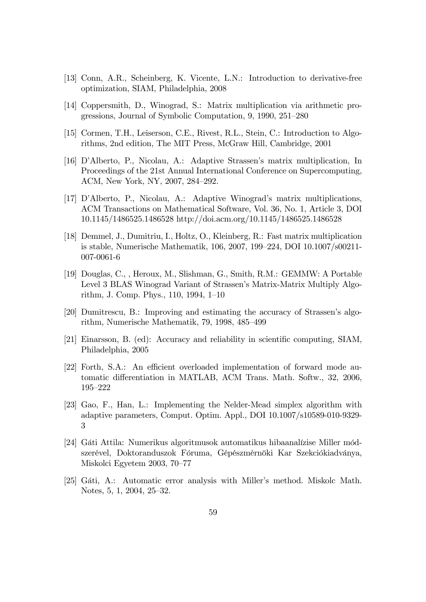- [13] Conn, A.R., Scheinberg, K. Vicente, L.N.: Introduction to derivative-free optimization, SIAM, Philadelphia, 2008
- [14] Coppersmith, D., Winograd, S.: Matrix multiplication via arithmetic progressions, Journal of Symbolic Computation, 9, 1990,  $251-280$
- [15] Cormen, T.H., Leiserson, C.E., Rivest, R.L., Stein, C.: Introduction to Algorithms, 2nd edition, The MIT Press, McGraw Hill, Cambridge, 2001
- [16] D'Alberto, P., Nicolau, A.: Adaptive Strassen's matrix multiplication, In Proceedings of the 21st Annual International Conference on Supercomputing, ACM, New York, NY, 2007, 284-292.
- [17] D'Alberto, P., Nicolau, A.: Adaptive Winograd's matrix multiplications, ACM Transactions on Mathematical Software, Vol. 36, No. 1, Article 3, DOI 10.1145/1486525.1486528 http://doi.acm.org/10.1145/1486525.1486528
- [18] Demmel, J., Dumitriu, I., Holtz, O., Kleinberg, R.: Fast matrix multiplication is stable, Numerische Mathematik, 106, 2007, 199–224, DOI  $10.1007/\text{s}00211$ -007-0061-6
- [19] Douglas, C., , Heroux, M., Slishman, G., Smith, R.M.: GEMMW: A Portable Level 3 BLAS Winograd Variant of Strassen's Matrix-Matrix Multiply Algorithm, J. Comp. Phys., 110, 1994, 1–10
- [20] Dumitrescu, B.: Improving and estimating the accuracy of Strassen's algorithm, Numerische Mathematik,  $79, 1998, 485-499$
- [21] Einarsson, B. (ed): Accuracy and reliability in scientific computing, SIAM, Philadelphia, 2005
- [22] Forth, S.A.: An efficient overloaded implementation of forward mode automatic differentiation in MATLAB, ACM Trans. Math. Softw., 32, 2006,  $195 - 222$
- [23] Gao, F., Han, L.: Implementing the Nelder-Mead simplex algorithm with adaptive parameters, Comput. Optim. Appl., DOI 10.1007/s10589-010-9329- 3
- [24] Gáti Attila: Numerikus algoritmusok automatikus hibaanalízise Miller módszerével, Doktoranduszok Fóruma, Gépészmérnöki Kar Szekciókiadványa, Miskolci Egyetem 2003, 70–77
- [25] Gáti, A.: Automatic error analysis with Miller's method. Miskolc Math. Notes, 5, 1, 2004, 25-32.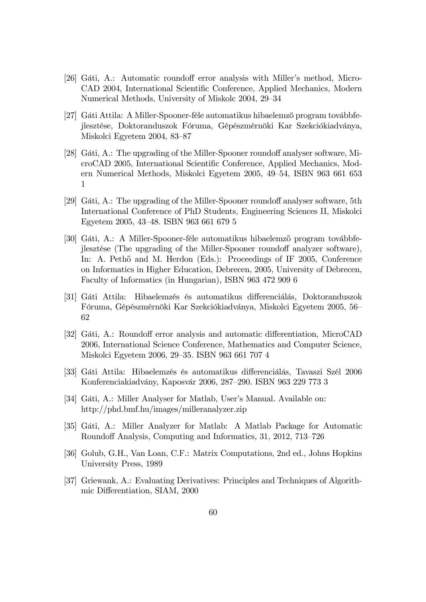- [26] Gáti, A.: Automatic roundoff error analysis with Miller's method, Micro-CAD 2004, International Scientific Conference, Applied Mechanics, Modern Numerical Methods, University of Miskolc 2004, 29–34
- [27] Gáti Attila: A Miller-Spooner-féle automatikus hibaelemző program továbbfejlesztése, Doktoranduszok Fóruma, Gépészmérnöki Kar Szekciókiadványa, Miskolci Egyetem 2004, 83-87
- [28] Gáti, A.: The upgrading of the Miller-Spooner roundoff analyser software, MicroCAD 2005, International Scientific Conference, Applied Mechanics, Modern Numerical Methods, Miskolci Egyetem 2005, 49–54, ISBN 963 661 653 1
- [29] Gáti, A.: The upgrading of the Miller-Spooner roundoff analyser software, 5th International Conference of PhD Students, Engineering Sciences II, Miskolci Egyetem 2005, 43–48. ISBN 963 661 679 5
- [30] Gáti, A.: A Miller-Spooner-féle automatikus hibaelemző program továbbfejlesztése (The upgrading of the Miller-Spooner roundoff analyzer software), In: A. Pethő and M. Herdon (Eds.): Proceedings of IF 2005, Conference on Informatics in Higher Education, Debrecen, 2005, University of Debrecen, Faculty of Informatics (in Hungarian), ISBN 963 472 909 6
- [31] Gáti Attila: Hibaelemzés és automatikus differenciálás, Doktoranduszok Fóruma, Gépészmérnöki Kar Szekciókiadványa, Miskolci Egyetem 2005, 56 62
- [32] Gáti, A.: Roundoff error analysis and automatic differentiation, MicroCAD 2006, International Science Conference, Mathematics and Computer Science, Miskolci Egyetem 2006, 29–35. ISBN 963 661 707 4
- [33] Gáti Attila: Hibaelemzés és automatikus differenciálás, Tavaszi Szél 2006 Konferenciakiadvány, Kaposvár 2006, 287–290. ISBN 963 229 773 3
- [34] Gáti, A.: Miller Analyser for Matlab, User's Manual. Available on: http://phd.bmf.hu/images/milleranalyzer.zip
- [35] Gáti, A.: Miller Analyzer for Matlab: A Matlab Package for Automatic Roundoff Analysis, Computing and Informatics, 31, 2012, 713–726
- [36] Golub, G.H., Van Loan, C.F.: Matrix Computations, 2nd ed., Johns Hopkins University Press, 1989
- [37] Griewank, A.: Evaluating Derivatives: Principles and Techniques of Algorithmic Differentiation, SIAM, 2000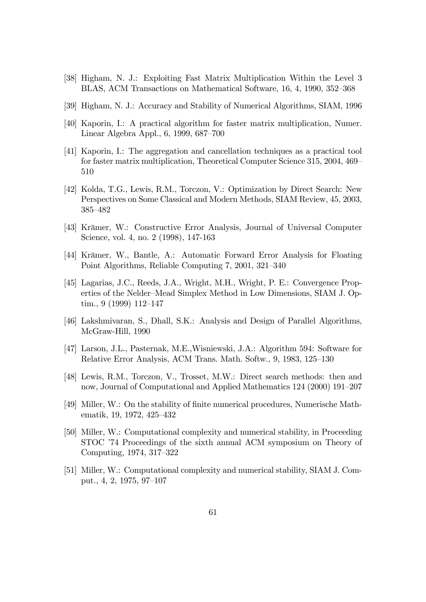- [38] Higham, N. J.: Exploiting Fast Matrix Multiplication Within the Level 3 BLAS, ACM Transactions on Mathematical Software, 16, 4, 1990, 352–368
- [39] Higham, N. J.: Accuracy and Stability of Numerical Algorithms, SIAM, 1996
- [40] Kaporin, I.: A practical algorithm for faster matrix multiplication, Numer. Linear Algebra Appl.,  $6, 1999, 687-700$
- [41] Kaporin, I.: The aggregation and cancellation techniques as a practical tool for faster matrix multiplication, Theoretical Computer Science 315, 2004, 469 510
- [42] Kolda, T.G., Lewis, R.M., Torczon, V.: Optimization by Direct Search: New Perspectives on Some Classical and Modern Methods, SIAM Review, 45, 2003, 385-482
- [43] Krämer, W.: Constructive Error Analysis, Journal of Universal Computer Science, vol. 4, no. 2 (1998), 147-163
- [44] Krämer, W., Bantle, A.: Automatic Forward Error Analysis for Floating Point Algorithms, Reliable Computing  $7, 2001, 321-340$
- [45] Lagarias, J.C., Reeds, J.A., Wright, M.H., Wright, P. E.: Convergence Properties of the Nelder–Mead Simplex Method in Low Dimensions, SIAM J. Optim., 9  $(1999)$  112–147
- [46] Lakshmivaran, S., Dhall, S.K.: Analysis and Design of Parallel Algorithms, McGraw-Hill, 1990
- [47] Larson, J.L., Pasternak, M.E.,Wisniewski, J.A.: Algorithm 594: Software for Relative Error Analysis, ACM Trans. Math. Softw., 9, 1983, 125–130
- [48] Lewis, R.M., Torczon, V., Trosset, M.W.: Direct search methods: then and now, Journal of Computational and Applied Mathematics 124 (2000) 191–207
- [49] Miller, W.: On the stability of Önite numerical procedures, Numerische Mathematik, 19, 1972, 425–432
- [50] Miller, W.: Computational complexity and numerical stability, in Proceeding STOC '74 Proceedings of the sixth annual ACM symposium on Theory of Computing, 1974, 317–322
- [51] Miller, W.: Computational complexity and numerical stability, SIAM J. Comput., 4, 2, 1975, 97–107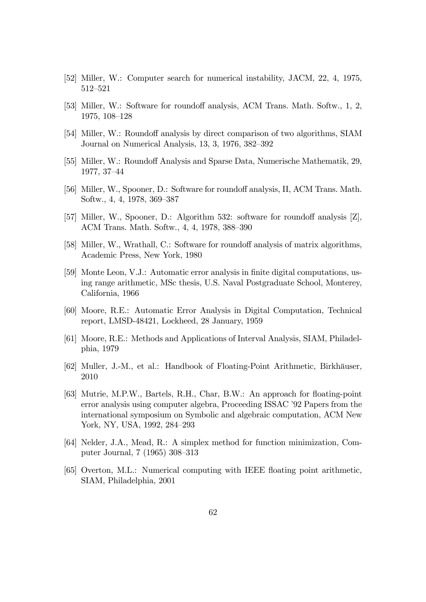- [52] Miller, W.: Computer search for numerical instability, JACM, 22, 4, 1975, 512-521
- [53] Miller, W.: Software for roundoff analysis, ACM Trans. Math. Softw., 1, 2, 1975, 108-128
- [54] Miller, W.: Roundoff analysis by direct comparison of two algorithms, SIAM Journal on Numerical Analysis,  $13, 3, 1976, 382-392$
- [55] Miller, W.: Roundoff Analysis and Sparse Data, Numerische Mathematik, 29, 1977, 37-44
- [56] Miller, W., Spooner, D.: Software for roundoff analysis, II, ACM Trans. Math. Softw., 4, 4, 1978, 369-387
- [57] Miller, W., Spooner, D.: Algorithm 532: software for roundoff analysis  $[Z]$ , ACM Trans. Math. Softw., 4, 4, 1978, 388–390
- [58] Miller, W., Wrathall, C.: Software for roundoff analysis of matrix algorithms, Academic Press, New York, 1980
- [59] Monte Leon, V.J.: Automatic error analysis in Önite digital computations, using range arithmetic, MSc thesis, U.S. Naval Postgraduate School, Monterey, California, 1966
- [60] Moore, R.E.: Automatic Error Analysis in Digital Computation, Technical report, LMSD-48421, Lockheed, 28 January, 1959
- [61] Moore, R.E.: Methods and Applications of Interval Analysis, SIAM, Philadelphia, 1979
- [62] Muller, J.-M., et al.: Handbook of Floating-Point Arithmetic, Birkhäuser, 2010
- [63] Mutrie, M.P.W., Bartels, R.H., Char, B.W.: An approach for floating-point error analysis using computer algebra, Proceeding ISSAC '92 Papers from the international symposium on Symbolic and algebraic computation, ACM New York, NY, USA, 1992, 284-293
- [64] Nelder, J.A., Mead, R.: A simplex method for function minimization, Computer Journal, 7 (1965) 308-313
- [65] Overton, M.L.: Numerical computing with IEEE floating point arithmetic, SIAM, Philadelphia, 2001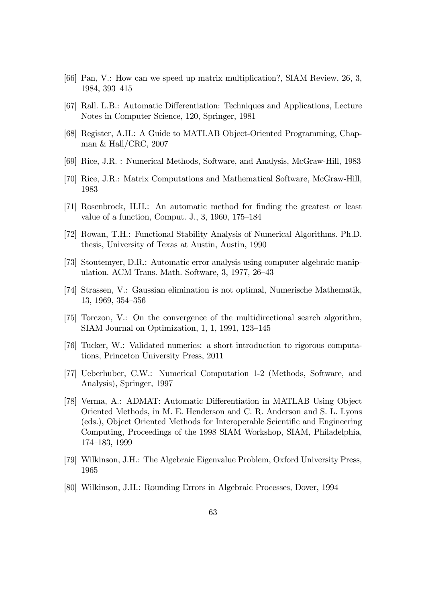- [66] Pan, V.: How can we speed up matrix multiplication?, SIAM Review, 26, 3, 1984, 393-415
- [67] Rall. L.B.: Automatic Differentiation: Techniques and Applications, Lecture Notes in Computer Science, 120, Springer, 1981
- [68] Register, A.H.: A Guide to MATLAB Object-Oriented Programming, Chapman & Hall/CRC, 2007
- [69] Rice, J.R. : Numerical Methods, Software, and Analysis, McGraw-Hill, 1983
- [70] Rice, J.R.: Matrix Computations and Mathematical Software, McGraw-Hill, 1983
- [71] Rosenbrock, H.H.: An automatic method for Önding the greatest or least value of a function, Comput. J., 3, 1960, 175–184
- [72] Rowan, T.H.: Functional Stability Analysis of Numerical Algorithms. Ph.D. thesis, University of Texas at Austin, Austin, 1990
- [73] Stoutemyer, D.R.: Automatic error analysis using computer algebraic manipulation. ACM Trans. Math. Software,  $3, 1977, 26-43$
- [74] Strassen, V.: Gaussian elimination is not optimal, Numerische Mathematik, 13, 1969, 354–356
- [75] Torczon, V.: On the convergence of the multidirectional search algorithm, SIAM Journal on Optimization,  $1, 1, 1991, 123-145$
- [76] Tucker, W.: Validated numerics: a short introduction to rigorous computations, Princeton University Press, 2011
- [77] Ueberhuber, C.W.: Numerical Computation 1-2 (Methods, Software, and Analysis), Springer, 1997
- [78] Verma, A.: ADMAT: Automatic Differentiation in MATLAB Using Object Oriented Methods, in M. E. Henderson and C. R. Anderson and S. L. Lyons (eds.), Object Oriented Methods for Interoperable Scientific and Engineering Computing, Proceedings of the 1998 SIAM Workshop, SIAM, Philadelphia, 174-183, 1999
- [79] Wilkinson, J.H.: The Algebraic Eigenvalue Problem, Oxford University Press, 1965
- [80] Wilkinson, J.H.: Rounding Errors in Algebraic Processes, Dover, 1994